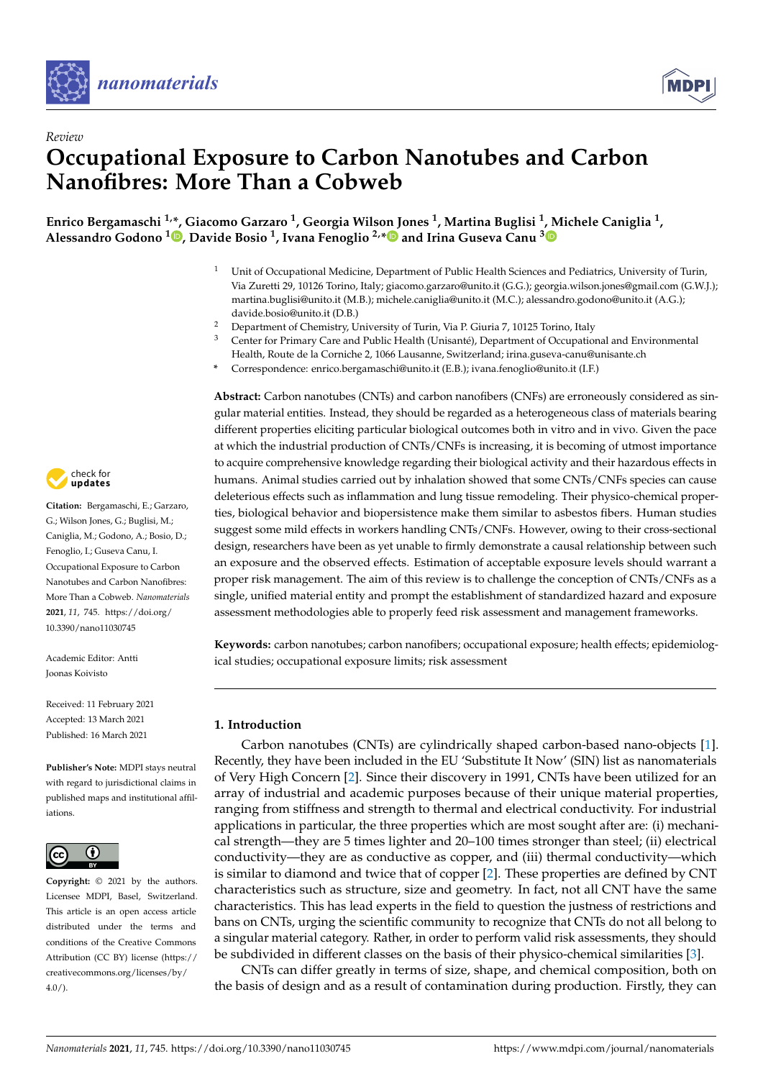



# *Review* **Occupational Exposure to Carbon Nanotubes and Carbon Nanofibres: More Than a Cobweb**

**Enrico Bergamaschi 1,\*, Giacomo Garzaro <sup>1</sup> , Georgia Wilson Jones <sup>1</sup> , Martina Buglisi <sup>1</sup> [, M](https://orcid.org/0000-0001-7059-8421)ichele Caniglia <sup>1</sup> , Alessandro Godono <sup>1</sup> [,](https://orcid.org/0000-0001-8095-5461) Davide Bosio <sup>1</sup> , Ivana Fenoglio 2,[\\*](https://orcid.org/0000-0002-6946-3105) and Irina Guseva Canu <sup>3</sup>**

- <sup>1</sup> Unit of Occupational Medicine, Department of Public Health Sciences and Pediatrics, University of Turin, Via Zuretti 29, 10126 Torino, Italy; giacomo.garzaro@unito.it (G.G.); georgia.wilson.jones@gmail.com (G.W.J.); martina.buglisi@unito.it (M.B.); michele.caniglia@unito.it (M.C.); alessandro.godono@unito.it (A.G.); davide.bosio@unito.it (D.B.)
- <sup>2</sup> Department of Chemistry, University of Turin, Via P. Giuria 7, 10125 Torino, Italy  $\frac{3}{2}$  Contar for Primary Caro and Public Hoalth (Unicantá). Department of Occupation
- <sup>3</sup> Center for Primary Care and Public Health (Unisanté), Department of Occupational and Environmental Health, Route de la Corniche 2, 1066 Lausanne, Switzerland; irina.guseva-canu@unisante.ch
- **\*** Correspondence: enrico.bergamaschi@unito.it (E.B.); ivana.fenoglio@unito.it (I.F.)

**Abstract:** Carbon nanotubes (CNTs) and carbon nanofibers (CNFs) are erroneously considered as singular material entities. Instead, they should be regarded as a heterogeneous class of materials bearing different properties eliciting particular biological outcomes both in vitro and in vivo. Given the pace at which the industrial production of CNTs/CNFs is increasing, it is becoming of utmost importance to acquire comprehensive knowledge regarding their biological activity and their hazardous effects in humans. Animal studies carried out by inhalation showed that some CNTs/CNFs species can cause deleterious effects such as inflammation and lung tissue remodeling. Their physico-chemical properties, biological behavior and biopersistence make them similar to asbestos fibers. Human studies suggest some mild effects in workers handling CNTs/CNFs. However, owing to their cross-sectional design, researchers have been as yet unable to firmly demonstrate a causal relationship between such an exposure and the observed effects. Estimation of acceptable exposure levels should warrant a proper risk management. The aim of this review is to challenge the conception of CNTs/CNFs as a single, unified material entity and prompt the establishment of standardized hazard and exposure assessment methodologies able to properly feed risk assessment and management frameworks.

**Keywords:** carbon nanotubes; carbon nanofibers; occupational exposure; health effects; epidemiological studies; occupational exposure limits; risk assessment

## **1. Introduction**

Carbon nanotubes (CNTs) are cylindrically shaped carbon-based nano-objects [\[1\]](#page-11-0). Recently, they have been included in the EU 'Substitute It Now' (SIN) list as nanomaterials of Very High Concern [\[2\]](#page-11-1). Since their discovery in 1991, CNTs have been utilized for an array of industrial and academic purposes because of their unique material properties, ranging from stiffness and strength to thermal and electrical conductivity. For industrial applications in particular, the three properties which are most sought after are: (i) mechanical strength—they are 5 times lighter and 20–100 times stronger than steel; (ii) electrical conductivity—they are as conductive as copper, and (iii) thermal conductivity—which is similar to diamond and twice that of copper [\[2\]](#page-11-1). These properties are defined by CNT characteristics such as structure, size and geometry. In fact, not all CNT have the same characteristics. This has lead experts in the field to question the justness of restrictions and bans on CNTs, urging the scientific community to recognize that CNTs do not all belong to a singular material category. Rather, in order to perform valid risk assessments, they should be subdivided in different classes on the basis of their physico-chemical similarities [\[3\]](#page-11-2).

CNTs can differ greatly in terms of size, shape, and chemical composition, both on the basis of design and as a result of contamination during production. Firstly, they can



**Citation:** Bergamaschi, E.; Garzaro, G.; Wilson Jones, G.; Buglisi, M.; Caniglia, M.; Godono, A.; Bosio, D.; Fenoglio, I.; Guseva Canu, I. Occupational Exposure to Carbon Nanotubes and Carbon Nanofibres: More Than a Cobweb. *Nanomaterials* **2021**, *11*, 745. [https://doi.org/](https://doi.org/10.3390/nano11030745) [10.3390/nano11030745](https://doi.org/10.3390/nano11030745)

Academic Editor: Antti Joonas Koivisto

Received: 11 February 2021 Accepted: 13 March 2021 Published: 16 March 2021

**Publisher's Note:** MDPI stays neutral with regard to jurisdictional claims in published maps and institutional affiliations.



**Copyright:** © 2021 by the authors. Licensee MDPI, Basel, Switzerland. This article is an open access article distributed under the terms and conditions of the Creative Commons Attribution (CC BY) license (https:/[/](https://creativecommons.org/licenses/by/4.0/) [creativecommons.org/licenses/by/](https://creativecommons.org/licenses/by/4.0/)  $4.0/$ ).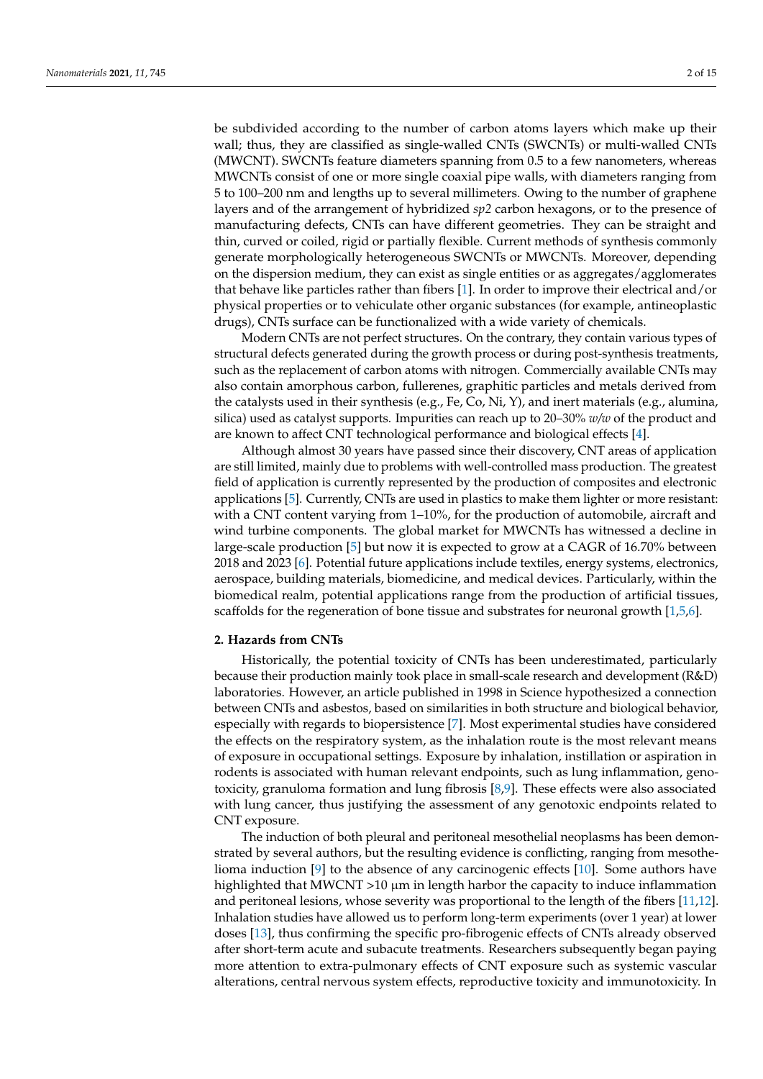be subdivided according to the number of carbon atoms layers which make up their wall; thus, they are classified as single-walled CNTs (SWCNTs) or multi-walled CNTs (MWCNT). SWCNTs feature diameters spanning from 0.5 to a few nanometers, whereas MWCNTs consist of one or more single coaxial pipe walls, with diameters ranging from 5 to 100–200 nm and lengths up to several millimeters. Owing to the number of graphene layers and of the arrangement of hybridized *sp2* carbon hexagons, or to the presence of manufacturing defects, CNTs can have different geometries. They can be straight and thin, curved or coiled, rigid or partially flexible. Current methods of synthesis commonly generate morphologically heterogeneous SWCNTs or MWCNTs. Moreover, depending on the dispersion medium, they can exist as single entities or as aggregates/agglomerates that behave like particles rather than fibers [\[1\]](#page-11-0). In order to improve their electrical and/or physical properties or to vehiculate other organic substances (for example, antineoplastic drugs), CNTs surface can be functionalized with a wide variety of chemicals.

Modern CNTs are not perfect structures. On the contrary, they contain various types of structural defects generated during the growth process or during post-synthesis treatments, such as the replacement of carbon atoms with nitrogen. Commercially available CNTs may also contain amorphous carbon, fullerenes, graphitic particles and metals derived from the catalysts used in their synthesis (e.g., Fe, Co, Ni, Y), and inert materials (e.g., alumina, silica) used as catalyst supports. Impurities can reach up to 20–30% *w/w* of the product and are known to affect CNT technological performance and biological effects [\[4\]](#page-11-3).

Although almost 30 years have passed since their discovery, CNT areas of application are still limited, mainly due to problems with well-controlled mass production. The greatest field of application is currently represented by the production of composites and electronic applications [\[5\]](#page-11-4). Currently, CNTs are used in plastics to make them lighter or more resistant: with a CNT content varying from 1–10%, for the production of automobile, aircraft and wind turbine components. The global market for MWCNTs has witnessed a decline in large-scale production [\[5\]](#page-11-4) but now it is expected to grow at a CAGR of 16.70% between 2018 and 2023 [\[6\]](#page-11-5). Potential future applications include textiles, energy systems, electronics, aerospace, building materials, biomedicine, and medical devices. Particularly, within the biomedical realm, potential applications range from the production of artificial tissues, scaffolds for the regeneration of bone tissue and substrates for neuronal growth [\[1,](#page-11-0)[5](#page-11-4)[,6\]](#page-11-5).

#### **2. Hazards from CNTs**

Historically, the potential toxicity of CNTs has been underestimated, particularly because their production mainly took place in small-scale research and development (R&D) laboratories. However, an article published in 1998 in Science hypothesized a connection between CNTs and asbestos, based on similarities in both structure and biological behavior, especially with regards to biopersistence [\[7\]](#page-11-6). Most experimental studies have considered the effects on the respiratory system, as the inhalation route is the most relevant means of exposure in occupational settings. Exposure by inhalation, instillation or aspiration in rodents is associated with human relevant endpoints, such as lung inflammation, genotoxicity, granuloma formation and lung fibrosis [\[8,](#page-11-7)[9\]](#page-11-8). These effects were also associated with lung cancer, thus justifying the assessment of any genotoxic endpoints related to CNT exposure.

The induction of both pleural and peritoneal mesothelial neoplasms has been demonstrated by several authors, but the resulting evidence is conflicting, ranging from mesothelioma induction [\[9\]](#page-11-8) to the absence of any carcinogenic effects [\[10\]](#page-11-9). Some authors have highlighted that MWCNT  $>10 \mu m$  in length harbor the capacity to induce inflammation and peritoneal lesions, whose severity was proportional to the length of the fibers [\[11,](#page-11-10)[12\]](#page-11-11). Inhalation studies have allowed us to perform long-term experiments (over 1 year) at lower doses [\[13\]](#page-11-12), thus confirming the specific pro-fibrogenic effects of CNTs already observed after short-term acute and subacute treatments. Researchers subsequently began paying more attention to extra-pulmonary effects of CNT exposure such as systemic vascular alterations, central nervous system effects, reproductive toxicity and immunotoxicity. In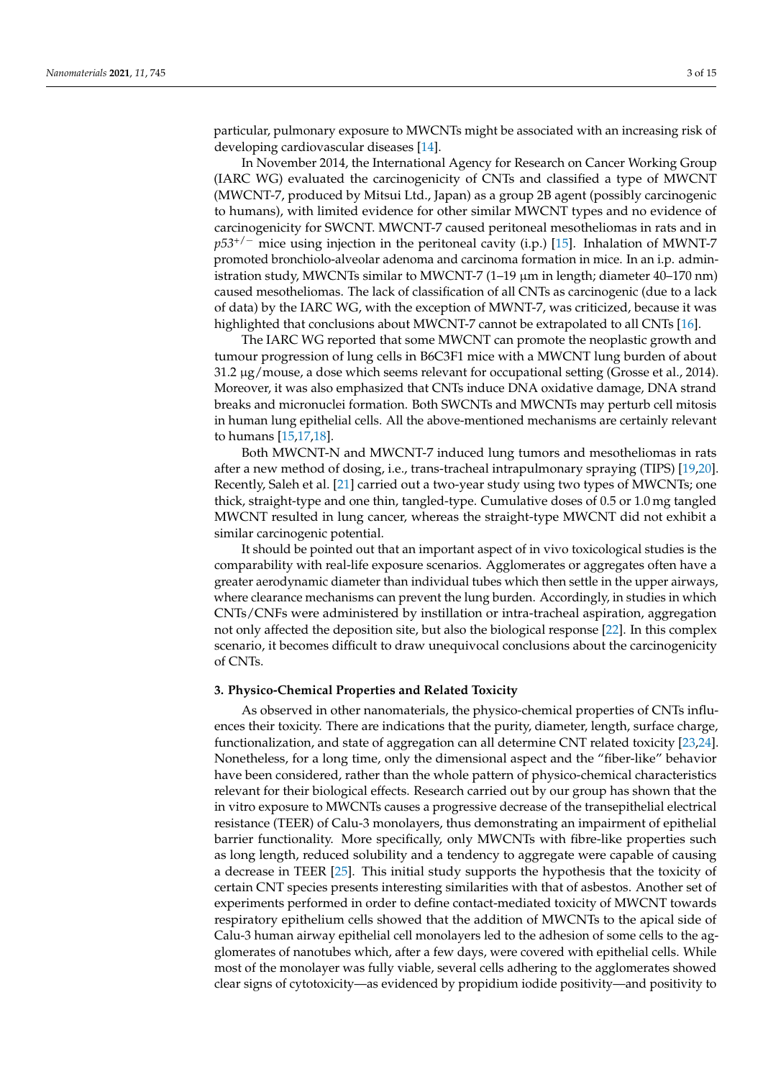particular, pulmonary exposure to MWCNTs might be associated with an increasing risk of developing cardiovascular diseases [\[14\]](#page-11-13).

In November 2014, the International Agency for Research on Cancer Working Group (IARC WG) evaluated the carcinogenicity of CNTs and classified a type of MWCNT (MWCNT-7, produced by Mitsui Ltd., Japan) as a group 2B agent (possibly carcinogenic to humans), with limited evidence for other similar MWCNT types and no evidence of carcinogenicity for SWCNT. MWCNT-7 caused peritoneal mesotheliomas in rats and in *p53<sup>+/−</sup>* mice using injection in the peritoneal cavity (i.p.) [\[15\]](#page-11-14). Inhalation of MWNT-7 promoted bronchiolo-alveolar adenoma and carcinoma formation in mice. In an i.p. administration study, MWCNTs similar to MWCNT-7  $(1-19 \mu m)$  in length; diameter 40–170 nm) caused mesotheliomas. The lack of classification of all CNTs as carcinogenic (due to a lack of data) by the IARC WG, with the exception of MWNT-7, was criticized, because it was highlighted that conclusions about MWCNT-7 cannot be extrapolated to all CNTs [\[16\]](#page-12-0).

The IARC WG reported that some MWCNT can promote the neoplastic growth and tumour progression of lung cells in B6C3F1 mice with a MWCNT lung burden of about  $31.2 \mu$ g/mouse, a dose which seems relevant for occupational setting (Grosse et al., 2014). Moreover, it was also emphasized that CNTs induce DNA oxidative damage, DNA strand breaks and micronuclei formation. Both SWCNTs and MWCNTs may perturb cell mitosis in human lung epithelial cells. All the above-mentioned mechanisms are certainly relevant to humans [\[15](#page-11-14)[,17](#page-12-1)[,18\]](#page-12-2).

Both MWCNT-N and MWCNT-7 induced lung tumors and mesotheliomas in rats after a new method of dosing, i.e., trans-tracheal intrapulmonary spraying (TIPS) [\[19,](#page-12-3)[20\]](#page-12-4). Recently, Saleh et al. [\[21\]](#page-12-5) carried out a two-year study using two types of MWCNTs; one thick, straight-type and one thin, tangled-type. Cumulative doses of 0.5 or 1.0 mg tangled MWCNT resulted in lung cancer, whereas the straight-type MWCNT did not exhibit a similar carcinogenic potential.

It should be pointed out that an important aspect of in vivo toxicological studies is the comparability with real-life exposure scenarios. Agglomerates or aggregates often have a greater aerodynamic diameter than individual tubes which then settle in the upper airways, where clearance mechanisms can prevent the lung burden. Accordingly, in studies in which CNTs/CNFs were administered by instillation or intra-tracheal aspiration, aggregation not only affected the deposition site, but also the biological response [\[22\]](#page-12-6). In this complex scenario, it becomes difficult to draw unequivocal conclusions about the carcinogenicity of CNTs.

#### **3. Physico-Chemical Properties and Related Toxicity**

As observed in other nanomaterials, the physico-chemical properties of CNTs influences their toxicity. There are indications that the purity, diameter, length, surface charge, functionalization, and state of aggregation can all determine CNT related toxicity [\[23,](#page-12-7)[24\]](#page-12-8). Nonetheless, for a long time, only the dimensional aspect and the "fiber-like" behavior have been considered, rather than the whole pattern of physico-chemical characteristics relevant for their biological effects. Research carried out by our group has shown that the in vitro exposure to MWCNTs causes a progressive decrease of the transepithelial electrical resistance (TEER) of Calu-3 monolayers, thus demonstrating an impairment of epithelial barrier functionality. More specifically, only MWCNTs with fibre-like properties such as long length, reduced solubility and a tendency to aggregate were capable of causing a decrease in TEER [\[25\]](#page-12-9). This initial study supports the hypothesis that the toxicity of certain CNT species presents interesting similarities with that of asbestos. Another set of experiments performed in order to define contact-mediated toxicity of MWCNT towards respiratory epithelium cells showed that the addition of MWCNTs to the apical side of Calu-3 human airway epithelial cell monolayers led to the adhesion of some cells to the agglomerates of nanotubes which, after a few days, were covered with epithelial cells. While most of the monolayer was fully viable, several cells adhering to the agglomerates showed clear signs of cytotoxicity—as evidenced by propidium iodide positivity—and positivity to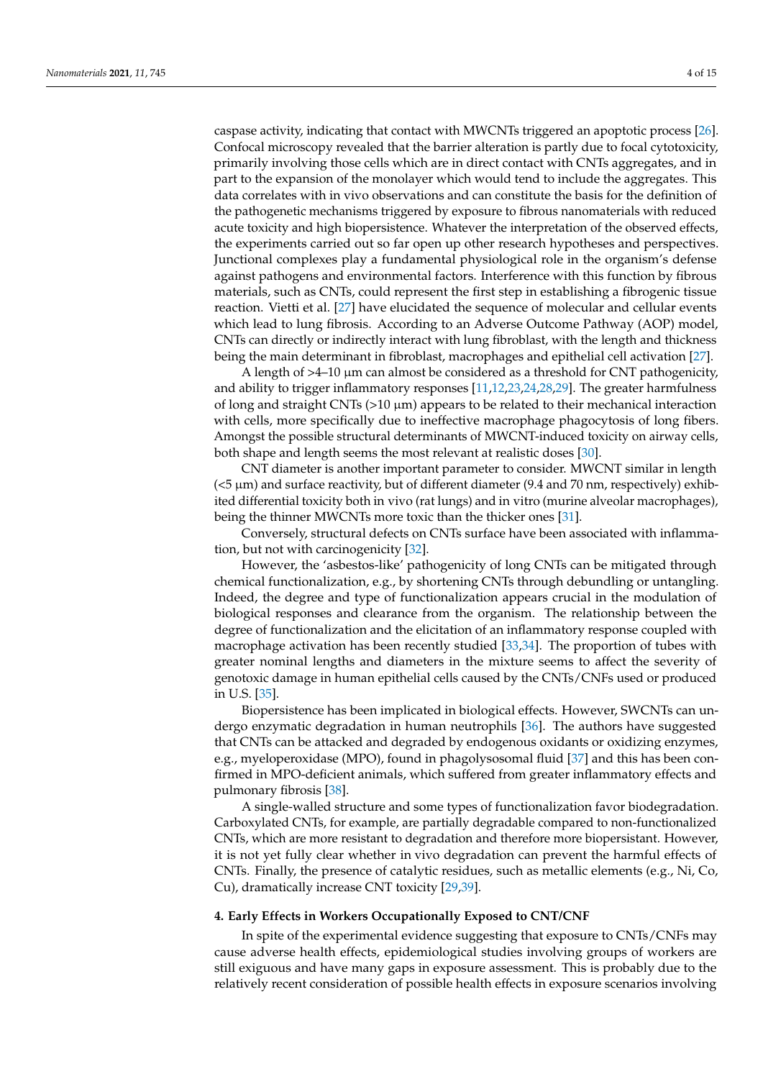primarily involving those cells which are in direct contact with CNTs aggregates, and in part to the expansion of the monolayer which would tend to include the aggregates. This data correlates with in vivo observations and can constitute the basis for the definition of the pathogenetic mechanisms triggered by exposure to fibrous nanomaterials with reduced acute toxicity and high biopersistence. Whatever the interpretation of the observed effects, the experiments carried out so far open up other research hypotheses and perspectives. Junctional complexes play a fundamental physiological role in the organism's defense against pathogens and environmental factors. Interference with this function by fibrous materials, such as CNTs, could represent the first step in establishing a fibrogenic tissue reaction. Vietti et al. [\[27\]](#page-12-11) have elucidated the sequence of molecular and cellular events which lead to lung fibrosis. According to an Adverse Outcome Pathway (AOP) model, CNTs can directly or indirectly interact with lung fibroblast, with the length and thickness being the main determinant in fibroblast, macrophages and epithelial cell activation [\[27\]](#page-12-11).

A length of  $>4-10 \mu m$  can almost be considered as a threshold for CNT pathogenicity, and ability to trigger inflammatory responses [\[11](#page-11-10)[,12](#page-11-11)[,23,](#page-12-7)[24](#page-12-8)[,28,](#page-12-12)[29\]](#page-12-13). The greater harmfulness of long and straight CNTs ( $>10 \mu m$ ) appears to be related to their mechanical interaction with cells, more specifically due to ineffective macrophage phagocytosis of long fibers. Amongst the possible structural determinants of MWCNT-induced toxicity on airway cells, both shape and length seems the most relevant at realistic doses [\[30\]](#page-12-14).

CNT diameter is another important parameter to consider. MWCNT similar in length (<5 µm) and surface reactivity, but of different diameter (9.4 and 70 nm, respectively) exhibited differential toxicity both in vivo (rat lungs) and in vitro (murine alveolar macrophages), being the thinner MWCNTs more toxic than the thicker ones [\[31\]](#page-12-15).

Conversely, structural defects on CNTs surface have been associated with inflammation, but not with carcinogenicity [\[32\]](#page-12-16).

However, the 'asbestos-like' pathogenicity of long CNTs can be mitigated through chemical functionalization, e.g., by shortening CNTs through debundling or untangling. Indeed, the degree and type of functionalization appears crucial in the modulation of biological responses and clearance from the organism. The relationship between the degree of functionalization and the elicitation of an inflammatory response coupled with macrophage activation has been recently studied [\[33](#page-12-17)[,34\]](#page-12-18). The proportion of tubes with greater nominal lengths and diameters in the mixture seems to affect the severity of genotoxic damage in human epithelial cells caused by the CNTs/CNFs used or produced in U.S. [\[35\]](#page-12-19).

Biopersistence has been implicated in biological effects. However, SWCNTs can undergo enzymatic degradation in human neutrophils [\[36\]](#page-12-20). The authors have suggested that CNTs can be attacked and degraded by endogenous oxidants or oxidizing enzymes, e.g., myeloperoxidase (MPO), found in phagolysosomal fluid [\[37\]](#page-12-21) and this has been confirmed in MPO-deficient animals, which suffered from greater inflammatory effects and pulmonary fibrosis [\[38\]](#page-13-0).

A single-walled structure and some types of functionalization favor biodegradation. Carboxylated CNTs, for example, are partially degradable compared to non-functionalized CNTs, which are more resistant to degradation and therefore more biopersistant. However, it is not yet fully clear whether in vivo degradation can prevent the harmful effects of CNTs. Finally, the presence of catalytic residues, such as metallic elements (e.g., Ni, Co, Cu), dramatically increase CNT toxicity [\[29](#page-12-13)[,39\]](#page-13-1).

# **4. Early Effects in Workers Occupationally Exposed to CNT/CNF**

In spite of the experimental evidence suggesting that exposure to CNTs/CNFs may cause adverse health effects, epidemiological studies involving groups of workers are still exiguous and have many gaps in exposure assessment. This is probably due to the relatively recent consideration of possible health effects in exposure scenarios involving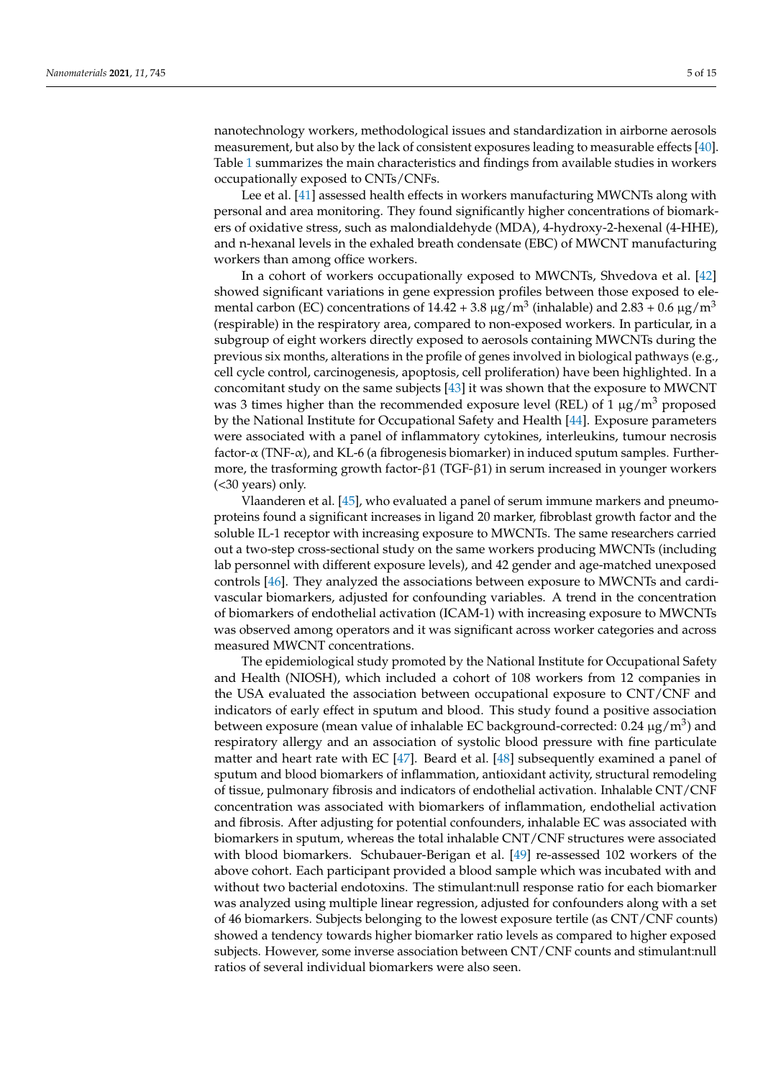nanotechnology workers, methodological issues and standardization in airborne aerosols measurement, but also by the lack of consistent exposures leading to measurable effects [\[40\]](#page-13-2). Table [1](#page-5-0) summarizes the main characteristics and findings from available studies in workers occupationally exposed to CNTs/CNFs.

Lee et al. [\[41\]](#page-13-3) assessed health effects in workers manufacturing MWCNTs along with personal and area monitoring. They found significantly higher concentrations of biomarkers of oxidative stress, such as malondialdehyde (MDA), 4-hydroxy-2-hexenal (4-HHE), and n-hexanal levels in the exhaled breath condensate (EBC) of MWCNT manufacturing workers than among office workers.

In a cohort of workers occupationally exposed to MWCNTs, Shvedova et al. [\[42\]](#page-13-4) showed significant variations in gene expression profiles between those exposed to elemental carbon (EC) concentrations of 14.42 + 3.8  $\mu$ g/m $^3$  (inhalable) and 2.83 + 0.6  $\mu$ g/m $^3$ (respirable) in the respiratory area, compared to non-exposed workers. In particular, in a subgroup of eight workers directly exposed to aerosols containing MWCNTs during the previous six months, alterations in the profile of genes involved in biological pathways (e.g., cell cycle control, carcinogenesis, apoptosis, cell proliferation) have been highlighted. In a concomitant study on the same subjects [\[43\]](#page-13-5) it was shown that the exposure to MWCNT was 3 times higher than the recommended exposure level (REL) of 1  $\mu$ g/m<sup>3</sup> proposed by the National Institute for Occupational Safety and Health [\[44\]](#page-13-6). Exposure parameters were associated with a panel of inflammatory cytokines, interleukins, tumour necrosis factor- $\alpha$  (TNF- $\alpha$ ), and KL-6 (a fibrogenesis biomarker) in induced sputum samples. Furthermore, the trasforming growth factor-β1 (TGF-β1) in serum increased in younger workers (<30 years) only.

Vlaanderen et al. [\[45\]](#page-13-7), who evaluated a panel of serum immune markers and pneumoproteins found a significant increases in ligand 20 marker, fibroblast growth factor and the soluble IL-1 receptor with increasing exposure to MWCNTs. The same researchers carried out a two-step cross-sectional study on the same workers producing MWCNTs (including lab personnel with different exposure levels), and 42 gender and age-matched unexposed controls [\[46\]](#page-13-8). They analyzed the associations between exposure to MWCNTs and cardivascular biomarkers, adjusted for confounding variables. A trend in the concentration of biomarkers of endothelial activation (ICAM-1) with increasing exposure to MWCNTs was observed among operators and it was significant across worker categories and across measured MWCNT concentrations.

The epidemiological study promoted by the National Institute for Occupational Safety and Health (NIOSH), which included a cohort of 108 workers from 12 companies in the USA evaluated the association between occupational exposure to CNT/CNF and indicators of early effect in sputum and blood. This study found a positive association between exposure (mean value of inhalable EC background-corrected:  $0.24~\rm \mu g/m^3)$  and respiratory allergy and an association of systolic blood pressure with fine particulate matter and heart rate with EC  $[47]$ . Beard et al.  $[48]$  subsequently examined a panel of sputum and blood biomarkers of inflammation, antioxidant activity, structural remodeling of tissue, pulmonary fibrosis and indicators of endothelial activation. Inhalable CNT/CNF concentration was associated with biomarkers of inflammation, endothelial activation and fibrosis. After adjusting for potential confounders, inhalable EC was associated with biomarkers in sputum, whereas the total inhalable CNT/CNF structures were associated with blood biomarkers. Schubauer-Berigan et al. [\[49\]](#page-13-11) re-assessed 102 workers of the above cohort. Each participant provided a blood sample which was incubated with and without two bacterial endotoxins. The stimulant:null response ratio for each biomarker was analyzed using multiple linear regression, adjusted for confounders along with a set of 46 biomarkers. Subjects belonging to the lowest exposure tertile (as CNT/CNF counts) showed a tendency towards higher biomarker ratio levels as compared to higher exposed subjects. However, some inverse association between CNT/CNF counts and stimulant:null ratios of several individual biomarkers were also seen.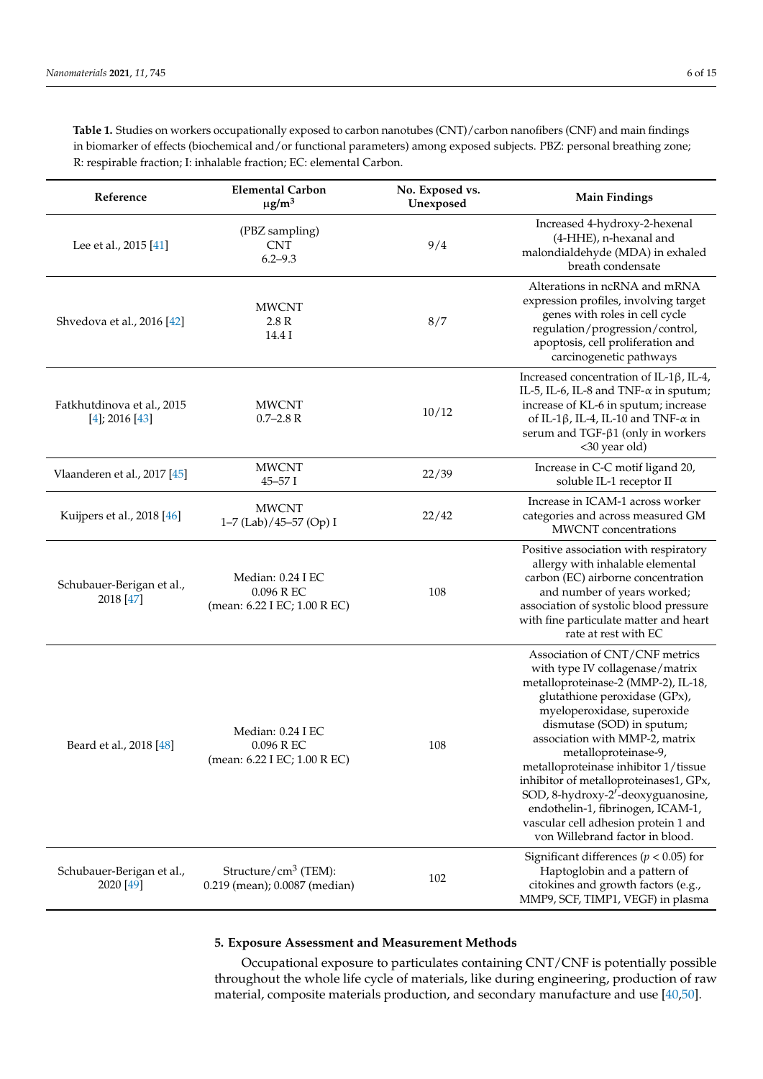<span id="page-5-0"></span>**Table 1.** Studies on workers occupationally exposed to carbon nanotubes (CNT)/carbon nanofibers (CNF) and main findings in biomarker of effects (biochemical and/or functional parameters) among exposed subjects. PBZ: personal breathing zone; R: respirable fraction; I: inhalable fraction; EC: elemental Carbon.

| Reference                                         | <b>Elemental Carbon</b><br>$\mu$ g/m <sup>3</sup>                | No. Exposed vs.<br>Unexposed | <b>Main Findings</b>                                                                                                                                                                                                                                                                                                                                                                                                                                                                                    |
|---------------------------------------------------|------------------------------------------------------------------|------------------------------|---------------------------------------------------------------------------------------------------------------------------------------------------------------------------------------------------------------------------------------------------------------------------------------------------------------------------------------------------------------------------------------------------------------------------------------------------------------------------------------------------------|
| Lee et al., 2015 [41]                             | (PBZ sampling)<br><b>CNT</b><br>$6.2 - 9.3$                      | 9/4                          | Increased 4-hydroxy-2-hexenal<br>(4-HHE), n-hexanal and<br>malondialdehyde (MDA) in exhaled<br>breath condensate                                                                                                                                                                                                                                                                                                                                                                                        |
| Shvedova et al., 2016 [42]                        | <b>MWCNT</b><br>2.8R<br>14.4 I                                   | 8/7                          | Alterations in ncRNA and mRNA<br>expression profiles, involving target<br>genes with roles in cell cycle<br>regulation/progression/control,<br>apoptosis, cell proliferation and<br>carcinogenetic pathways                                                                                                                                                                                                                                                                                             |
| Fatkhutdinova et al., 2015<br>$[4]$ ; 2016 $[43]$ | <b>MWCNT</b><br>$0.7 - 2.8$ R                                    | 10/12                        | Increased concentration of IL-1β, IL-4,<br>IL-5, IL-6, IL-8 and TNF- $\alpha$ in sputum;<br>increase of KL-6 in sputum; increase<br>of IL-1 $\beta$ , IL-4, IL-10 and TNF- $\alpha$ in<br>serum and TGF- $\beta$ 1 (only in workers<br><30 year old)                                                                                                                                                                                                                                                    |
| Vlaanderen et al., 2017 [45]                      | <b>MWCNT</b><br>$45 - 57$ I                                      | 22/39                        | Increase in C-C motif ligand 20,<br>soluble IL-1 receptor II                                                                                                                                                                                                                                                                                                                                                                                                                                            |
| Kuijpers et al., 2018 [46]                        | <b>MWCNT</b><br>1-7 (Lab)/45-57 (Op) I                           | 22/42                        | Increase in ICAM-1 across worker<br>categories and across measured GM<br><b>MWCNT</b> concentrations                                                                                                                                                                                                                                                                                                                                                                                                    |
| Schubauer-Berigan et al.,<br>2018 [47]            | Median: 0.24 I EC<br>0.096 R EC<br>(mean: 6.22 I EC; 1.00 R EC)  | 108                          | Positive association with respiratory<br>allergy with inhalable elemental<br>carbon (EC) airborne concentration<br>and number of years worked;<br>association of systolic blood pressure<br>with fine particulate matter and heart<br>rate at rest with EC                                                                                                                                                                                                                                              |
| Beard et al., 2018 [48]                           | Median: 0.24 I EC<br>0.096 R EC<br>(mean: 6.22 I EC; 1.00 R EC)  | 108                          | Association of CNT/CNF metrics<br>with type IV collagenase/matrix<br>metalloproteinase-2 (MMP-2), IL-18,<br>glutathione peroxidase (GPx),<br>myeloperoxidase, superoxide<br>dismutase (SOD) in sputum;<br>association with MMP-2, matrix<br>metalloproteinase-9,<br>metalloproteinase inhibitor 1/tissue<br>inhibitor of metalloproteinases1, GPx,<br>SOD, 8-hydroxy-2'-deoxyguanosine,<br>endothelin-1, fibrinogen, ICAM-1,<br>vascular cell adhesion protein 1 and<br>von Willebrand factor in blood. |
| Schubauer-Berigan et al.,<br>2020 [49]            | Structure/ $\text{cm}^3$ (TEM):<br>0.219 (mean); 0.0087 (median) | 102                          | Significant differences ( $p < 0.05$ ) for<br>Haptoglobin and a pattern of<br>citokines and growth factors (e.g.,<br>MMP9, SCF, TIMP1, VEGF) in plasma                                                                                                                                                                                                                                                                                                                                                  |

# **5. Exposure Assessment and Measurement Methods**

Occupational exposure to particulates containing CNT/CNF is potentially possible throughout the whole life cycle of materials, like during engineering, production of raw material, composite materials production, and secondary manufacture and use [\[40,](#page-13-2)[50\]](#page-13-12).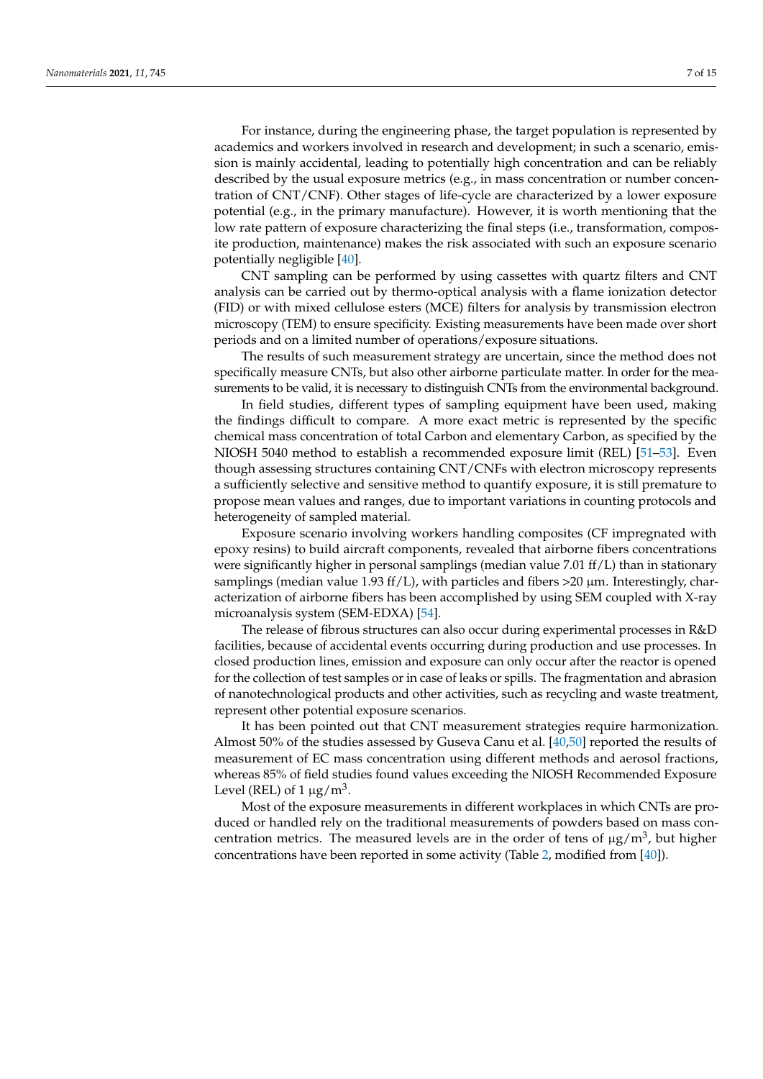For instance, during the engineering phase, the target population is represented by academics and workers involved in research and development; in such a scenario, emission is mainly accidental, leading to potentially high concentration and can be reliably described by the usual exposure metrics (e.g., in mass concentration or number concentration of CNT/CNF). Other stages of life-cycle are characterized by a lower exposure potential (e.g., in the primary manufacture). However, it is worth mentioning that the low rate pattern of exposure characterizing the final steps (i.e., transformation, composite production, maintenance) makes the risk associated with such an exposure scenario potentially negligible [\[40\]](#page-13-2).

CNT sampling can be performed by using cassettes with quartz filters and CNT analysis can be carried out by thermo-optical analysis with a flame ionization detector (FID) or with mixed cellulose esters (MCE) filters for analysis by transmission electron microscopy (TEM) to ensure specificity. Existing measurements have been made over short periods and on a limited number of operations/exposure situations.

The results of such measurement strategy are uncertain, since the method does not specifically measure CNTs, but also other airborne particulate matter. In order for the measurements to be valid, it is necessary to distinguish CNTs from the environmental background.

In field studies, different types of sampling equipment have been used, making the findings difficult to compare. A more exact metric is represented by the specific chemical mass concentration of total Carbon and elementary Carbon, as specified by the NIOSH 5040 method to establish a recommended exposure limit (REL) [\[51–](#page-13-13)[53\]](#page-13-14). Even though assessing structures containing CNT/CNFs with electron microscopy represents a sufficiently selective and sensitive method to quantify exposure, it is still premature to propose mean values and ranges, due to important variations in counting protocols and heterogeneity of sampled material.

Exposure scenario involving workers handling composites (CF impregnated with epoxy resins) to build aircraft components, revealed that airborne fibers concentrations were significantly higher in personal samplings (median value 7.01 ff/L) than in stationary samplings (median value 1.93 ff/L), with particles and fibers  $>$ 20  $\mu$ m. Interestingly, characterization of airborne fibers has been accomplished by using SEM coupled with X-ray microanalysis system (SEM-EDXA) [\[54\]](#page-13-15).

The release of fibrous structures can also occur during experimental processes in R&D facilities, because of accidental events occurring during production and use processes. In closed production lines, emission and exposure can only occur after the reactor is opened for the collection of test samples or in case of leaks or spills. The fragmentation and abrasion of nanotechnological products and other activities, such as recycling and waste treatment, represent other potential exposure scenarios.

It has been pointed out that CNT measurement strategies require harmonization. Almost 50% of the studies assessed by Guseva Canu et al. [\[40,](#page-13-2)[50\]](#page-13-12) reported the results of measurement of EC mass concentration using different methods and aerosol fractions, whereas 85% of field studies found values exceeding the NIOSH Recommended Exposure Level (REL) of  $1 \mu g/m^3$ .

Most of the exposure measurements in different workplaces in which CNTs are produced or handled rely on the traditional measurements of powders based on mass concentration metrics. The measured levels are in the order of tens of  $\mu$ g/m<sup>3</sup>, but higher concentrations have been reported in some activity (Table [2,](#page-7-0) modified from [\[40\]](#page-13-2)).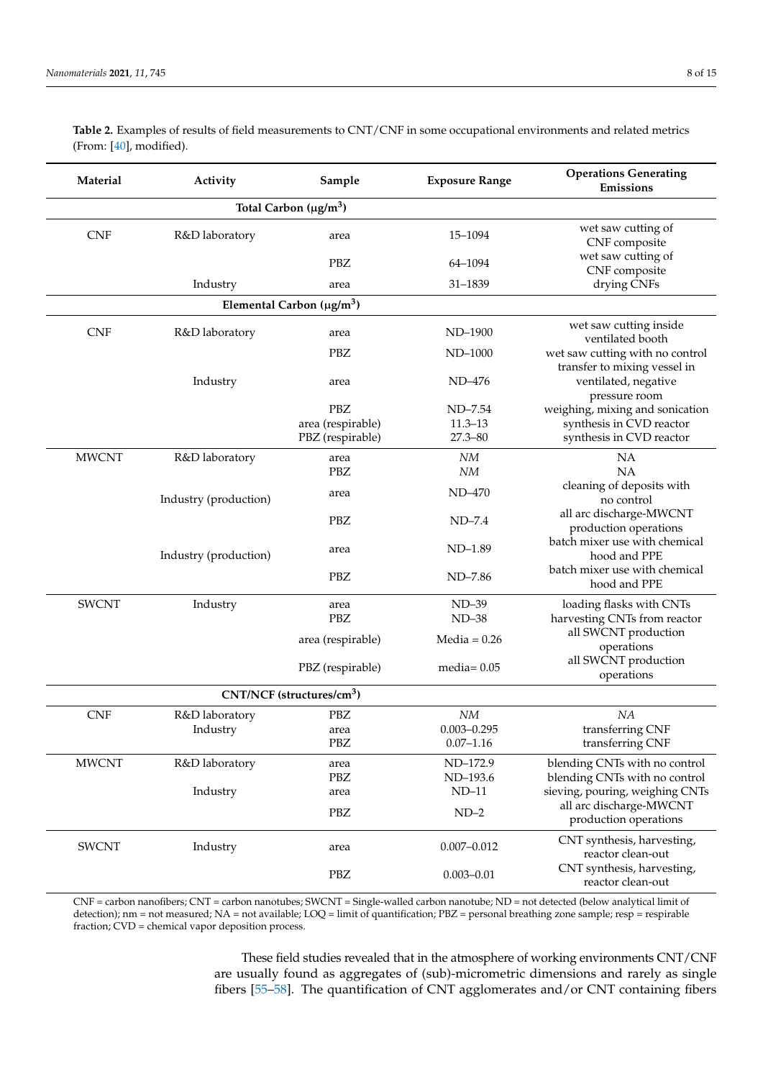| Material                                | Activity                                    | Sample            | <b>Exposure Range</b> | <b>Operations Generating</b><br>Emissions                       |  |  |  |
|-----------------------------------------|---------------------------------------------|-------------------|-----------------------|-----------------------------------------------------------------|--|--|--|
| Total Carbon ( $\mu$ g/m <sup>3</sup> ) |                                             |                   |                       |                                                                 |  |  |  |
| <b>CNF</b>                              | R&D laboratory                              | area              | 15-1094               | wet saw cutting of<br>CNF composite                             |  |  |  |
|                                         |                                             | PBZ               | 64-1094               | wet saw cutting of<br>CNF composite                             |  |  |  |
|                                         | Industry                                    | area              | 31-1839               | drying CNFs                                                     |  |  |  |
|                                         | Elemental Carbon ( $\mu$ g/m <sup>3</sup> ) |                   |                       |                                                                 |  |  |  |
| <b>CNF</b>                              | R&D laboratory                              | area              | ND-1900               | wet saw cutting inside<br>ventilated booth                      |  |  |  |
|                                         |                                             | <b>PBZ</b>        | ND-1000               | wet saw cutting with no control<br>transfer to mixing vessel in |  |  |  |
|                                         | Industry                                    | area              | ND-476                | ventilated, negative<br>pressure room                           |  |  |  |
|                                         |                                             | PBZ               | ND-7.54               | weighing, mixing and sonication                                 |  |  |  |
|                                         |                                             | area (respirable) | $11.3 - 13$           | synthesis in CVD reactor                                        |  |  |  |
|                                         |                                             | PBZ (respirable)  | $27.3 - 80$           | synthesis in CVD reactor                                        |  |  |  |
| <b>MWCNT</b>                            | R&D laboratory                              | area              | NM                    | NA                                                              |  |  |  |
|                                         |                                             | <b>PBZ</b>        | NM                    | NA                                                              |  |  |  |
|                                         | Industry (production)                       | area              | ND-470                | cleaning of deposits with<br>no control                         |  |  |  |
|                                         |                                             | PBZ               | $ND-7.4$              | all arc discharge-MWCNT<br>production operations                |  |  |  |
|                                         | Industry (production)                       | area              | $ND-1.89$             | batch mixer use with chemical<br>hood and PPE                   |  |  |  |
|                                         |                                             | PBZ               | ND-7.86               | batch mixer use with chemical<br>hood and PPE                   |  |  |  |
| <b>SWCNT</b>                            | Industry                                    | area              | $ND-39$               | loading flasks with CNTs                                        |  |  |  |
|                                         |                                             | <b>PBZ</b>        | $ND-38$               | harvesting CNTs from reactor                                    |  |  |  |
|                                         |                                             | area (respirable) | Media = $0.26$        | all SWCNT production<br>operations                              |  |  |  |
|                                         |                                             | PBZ (respirable)  | media= $0.05$         | all SWCNT production<br>operations                              |  |  |  |
|                                         | CNT/NCF (structures/cm <sup>3</sup> )       |                   |                       |                                                                 |  |  |  |
| <b>CNF</b>                              | R&D laboratory                              | PBZ               | NΜ                    | NA                                                              |  |  |  |
|                                         | Industry                                    | area              | $0.003 - 0.295$       | transferring CNF                                                |  |  |  |
|                                         |                                             | PBZ               | $0.07 - 1.16$         | transferring CNF                                                |  |  |  |
| <b>MWCNT</b>                            | R&D laboratory                              | area              | ND-172.9              | blending CNTs with no control                                   |  |  |  |
|                                         |                                             | PBZ               | ND-193.6              | blending CNTs with no control                                   |  |  |  |
|                                         | Industry                                    | area              | $ND-11$               | sieving, pouring, weighing CNTs                                 |  |  |  |
|                                         |                                             | PBZ               | $ND-2$                | all arc discharge-MWCNT<br>production operations                |  |  |  |
| <b>SWCNT</b>                            | Industry                                    | area              | $0.007 - 0.012$       | CNT synthesis, harvesting,<br>reactor clean-out                 |  |  |  |
|                                         |                                             | PBZ               | $0.003 - 0.01$        | CNT synthesis, harvesting,<br>reactor clean-out                 |  |  |  |

<span id="page-7-0"></span>**Table 2.** Examples of results of field measurements to CNT/CNF in some occupational environments and related metrics (From: [\[40\]](#page-13-2), modified).

CNF = carbon nanofibers; CNT = carbon nanotubes; SWCNT = Single-walled carbon nanotube; ND = not detected (below analytical limit of detection); nm = not measured; NA = not available; LOQ = limit of quantification; PBZ = personal breathing zone sample; resp = respirable fraction; CVD = chemical vapor deposition process.

> These field studies revealed that in the atmosphere of working environments CNT/CNF are usually found as aggregates of (sub)-micrometric dimensions and rarely as single fibers [\[55–](#page-13-16)[58\]](#page-13-17). The quantification of CNT agglomerates and/or CNT containing fibers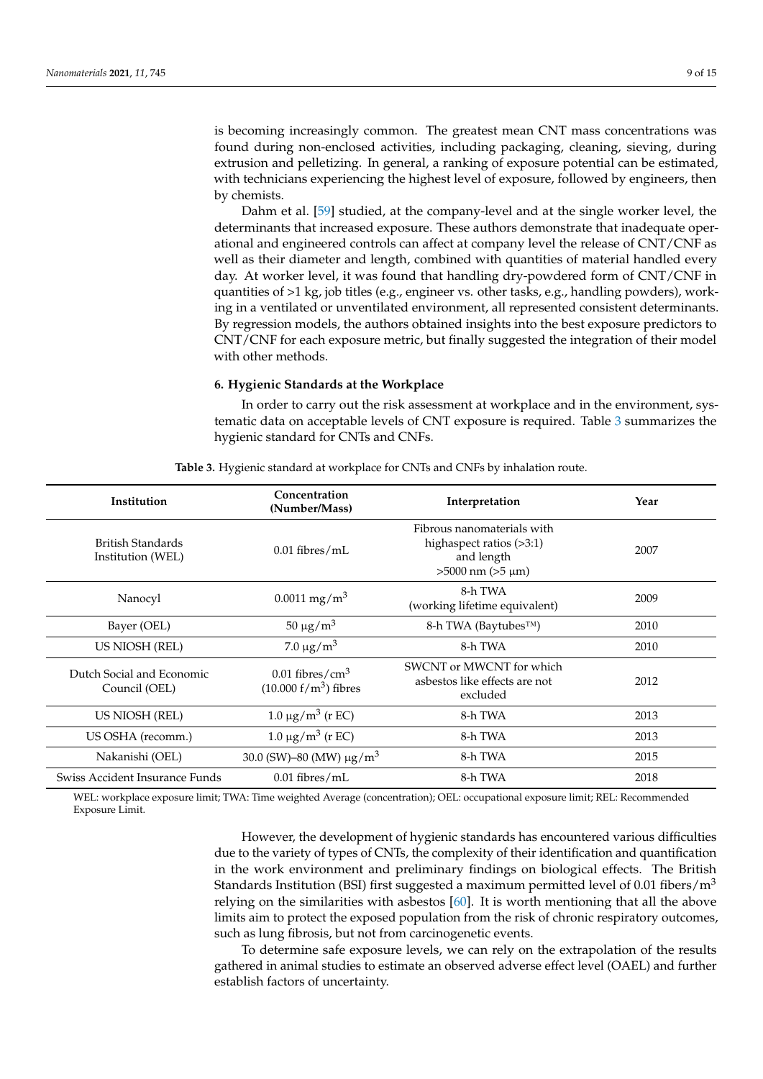is becoming increasingly common. The greatest mean CNT mass concentrations was found during non-enclosed activities, including packaging, cleaning, sieving, during extrusion and pelletizing. In general, a ranking of exposure potential can be estimated, with technicians experiencing the highest level of exposure, followed by engineers, then by chemists.

Dahm et al. [\[59\]](#page-13-18) studied, at the company-level and at the single worker level, the determinants that increased exposure. These authors demonstrate that inadequate operational and engineered controls can affect at company level the release of CNT/CNF as well as their diameter and length, combined with quantities of material handled every day. At worker level, it was found that handling dry-powdered form of CNT/CNF in quantities of >1 kg, job titles (e.g., engineer vs. other tasks, e.g., handling powders), working in a ventilated or unventilated environment, all represented consistent determinants. By regression models, the authors obtained insights into the best exposure predictors to CNT/CNF for each exposure metric, but finally suggested the integration of their model with other methods.

## **6. Hygienic Standards at the Workplace**

In order to carry out the risk assessment at workplace and in the environment, systematic data on acceptable levels of CNT exposure is required. Table [3](#page-8-0) summarizes the hygienic standard for CNTs and CNFs.

<span id="page-8-0"></span>

| <b>Institution</b>                            | Concentration<br>(Number/Mass)                          | Interpretation                                                                                  | Year |
|-----------------------------------------------|---------------------------------------------------------|-------------------------------------------------------------------------------------------------|------|
| <b>British Standards</b><br>Institution (WEL) | $0.01$ fibres/mL                                        | Fibrous nanomaterials with<br>highaspect ratios (>3:1)<br>and length<br>$>5000$ nm $(>5 \mu m)$ | 2007 |
| Nanocyl                                       | $0.0011$ mg/m <sup>3</sup>                              | 8-h TWA<br>(working lifetime equivalent)                                                        | 2009 |
| Bayer (OEL)                                   | $50 \mu g/m^3$                                          | 8-h TWA (Baytubes™)                                                                             | 2010 |
| US NIOSH (REL)                                | 7.0 $\mu$ g/m <sup>3</sup>                              | 8-h TWA                                                                                         | 2010 |
| Dutch Social and Economic<br>Council (OEL)    | $0.01$ fibres/cm <sup>3</sup><br>$(10.000 f/m3)$ fibres | SWCNT or MWCNT for which<br>asbestos like effects are not<br>excluded                           | 2012 |
| US NIOSH (REL)                                | $1.0 \,\mu g/m^3$ (r EC)                                | 8-h TWA                                                                                         | 2013 |
| US OSHA (recomm.)                             | $1.0 \,\mu g/m^3$ (r EC)                                | 8-h TWA                                                                                         | 2013 |
| Nakanishi (OEL)                               | 30.0 (SW)–80 (MW) $\mu$ g/m <sup>3</sup>                | 8-h TWA                                                                                         | 2015 |
| Swiss Accident Insurance Funds                | $0.01$ fibres/mL                                        | 8-h TWA                                                                                         | 2018 |

**Table 3.** Hygienic standard at workplace for CNTs and CNFs by inhalation route.

WEL: workplace exposure limit; TWA: Time weighted Average (concentration); OEL: occupational exposure limit; REL: Recommended Exposure Limit.

> However, the development of hygienic standards has encountered various difficulties due to the variety of types of CNTs, the complexity of their identification and quantification in the work environment and preliminary findings on biological effects. The British Standards Institution (BSI) first suggested a maximum permitted level of 0.01 fibers/ $m<sup>3</sup>$ relying on the similarities with asbestos [\[60\]](#page-13-19). It is worth mentioning that all the above limits aim to protect the exposed population from the risk of chronic respiratory outcomes, such as lung fibrosis, but not from carcinogenetic events.

> To determine safe exposure levels, we can rely on the extrapolation of the results gathered in animal studies to estimate an observed adverse effect level (OAEL) and further establish factors of uncertainty.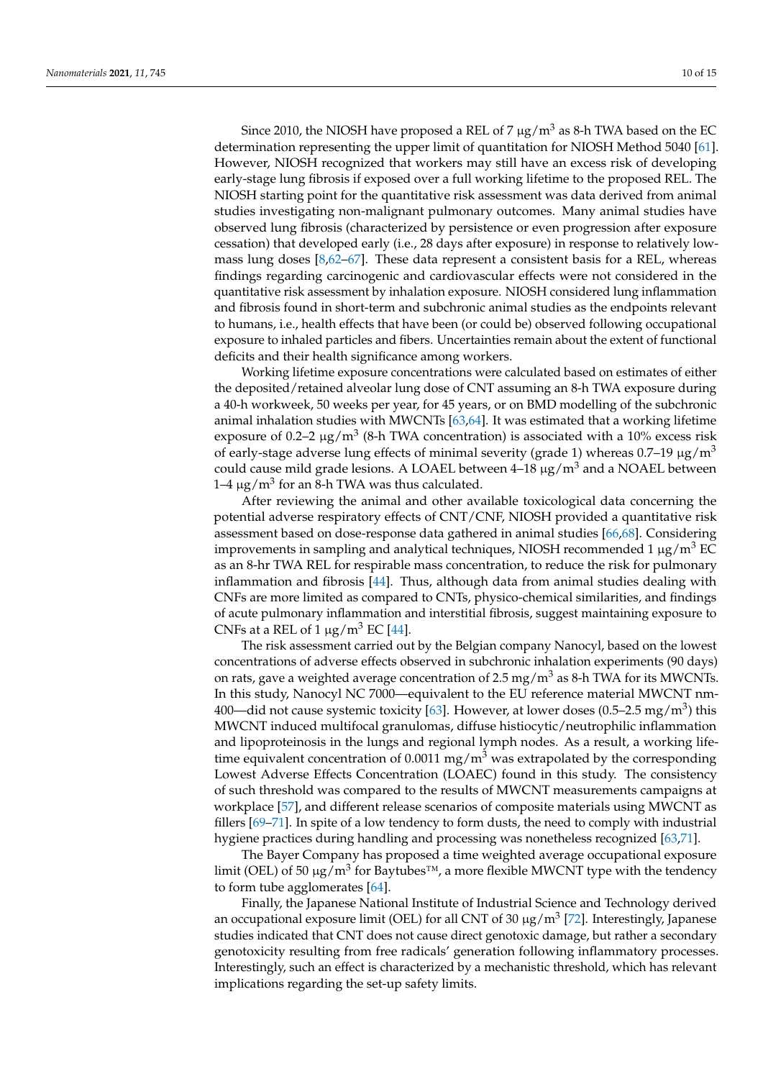Since 2010, the NIOSH have proposed a REL of 7  $\mu$ g/m<sup>3</sup> as 8-h TWA based on the EC determination representing the upper limit of quantitation for NIOSH Method 5040 [\[61\]](#page-14-0). However, NIOSH recognized that workers may still have an excess risk of developing early-stage lung fibrosis if exposed over a full working lifetime to the proposed REL. The NIOSH starting point for the quantitative risk assessment was data derived from animal studies investigating non-malignant pulmonary outcomes. Many animal studies have observed lung fibrosis (characterized by persistence or even progression after exposure cessation) that developed early (i.e., 28 days after exposure) in response to relatively lowmass lung doses [\[8](#page-11-7)[,62–](#page-14-1)[67\]](#page-14-2). These data represent a consistent basis for a REL, whereas findings regarding carcinogenic and cardiovascular effects were not considered in the quantitative risk assessment by inhalation exposure. NIOSH considered lung inflammation and fibrosis found in short-term and subchronic animal studies as the endpoints relevant to humans, i.e., health effects that have been (or could be) observed following occupational exposure to inhaled particles and fibers. Uncertainties remain about the extent of functional deficits and their health significance among workers.

Working lifetime exposure concentrations were calculated based on estimates of either the deposited/retained alveolar lung dose of CNT assuming an 8-h TWA exposure during a 40-h workweek, 50 weeks per year, for 45 years, or on BMD modelling of the subchronic animal inhalation studies with MWCNTs [\[63,](#page-14-3)[64\]](#page-14-4). It was estimated that a working lifetime exposure of 0.2–2  $\mu$ g/m<sup>3</sup> (8-h TWA concentration) is associated with a 10% excess risk of early-stage adverse lung effects of minimal severity (grade 1) whereas  $0.7-19 \mu g/m<sup>3</sup>$ could cause mild grade lesions. A LOAEL between  $4-18 \mu g/m^3$  and a NOAEL between 1–4  $\mu$ g/m<sup>3</sup> for an 8-h TWA was thus calculated.

After reviewing the animal and other available toxicological data concerning the potential adverse respiratory effects of CNT/CNF, NIOSH provided a quantitative risk assessment based on dose-response data gathered in animal studies [\[66](#page-14-5)[,68\]](#page-14-6). Considering improvements in sampling and analytical techniques, NIOSH recommended 1  $\mu$ g/m<sup>3</sup> EC as an 8-hr TWA REL for respirable mass concentration, to reduce the risk for pulmonary inflammation and fibrosis [\[44\]](#page-13-6). Thus, although data from animal studies dealing with CNFs are more limited as compared to CNTs, physico-chemical similarities, and findings of acute pulmonary inflammation and interstitial fibrosis, suggest maintaining exposure to CNFs at a REL of 1  $\mu$ g/m<sup>3</sup> EC [\[44\]](#page-13-6).

The risk assessment carried out by the Belgian company Nanocyl, based on the lowest concentrations of adverse effects observed in subchronic inhalation experiments (90 days) on rats, gave a weighted average concentration of 2.5 mg/m<sup>3</sup> as 8-h TWA for its MWCNTs. In this study, Nanocyl NC 7000—equivalent to the EU reference material MWCNT nm-400—did not cause systemic toxicity [\[63\]](#page-14-3). However, at lower doses (0.5–2.5 mg/m $^3$ ) this MWCNT induced multifocal granulomas, diffuse histiocytic/neutrophilic inflammation and lipoproteinosis in the lungs and regional lymph nodes. As a result, a working lifetime equivalent concentration of 0.0011 mg/m<sup>3</sup> was extrapolated by the corresponding Lowest Adverse Effects Concentration (LOAEC) found in this study. The consistency of such threshold was compared to the results of MWCNT measurements campaigns at workplace [\[57\]](#page-13-20), and different release scenarios of composite materials using MWCNT as fillers [\[69](#page-14-7)[–71\]](#page-14-8). In spite of a low tendency to form dusts, the need to comply with industrial hygiene practices during handling and processing was nonetheless recognized [\[63,](#page-14-3)[71\]](#page-14-8).

The Bayer Company has proposed a time weighted average occupational exposure limit (OEL) of 50  $\mu$ g/m $^3$  for Baytubes™, a more flexible MWCNT type with the tendency to form tube agglomerates [\[64\]](#page-14-4).

Finally, the Japanese National Institute of Industrial Science and Technology derived an occupational exposure limit (OEL) for all CNT of 30  $\mu$ g/m<sup>3</sup> [\[72\]](#page-14-9). Interestingly, Japanese studies indicated that CNT does not cause direct genotoxic damage, but rather a secondary genotoxicity resulting from free radicals' generation following inflammatory processes. Interestingly, such an effect is characterized by a mechanistic threshold, which has relevant implications regarding the set-up safety limits.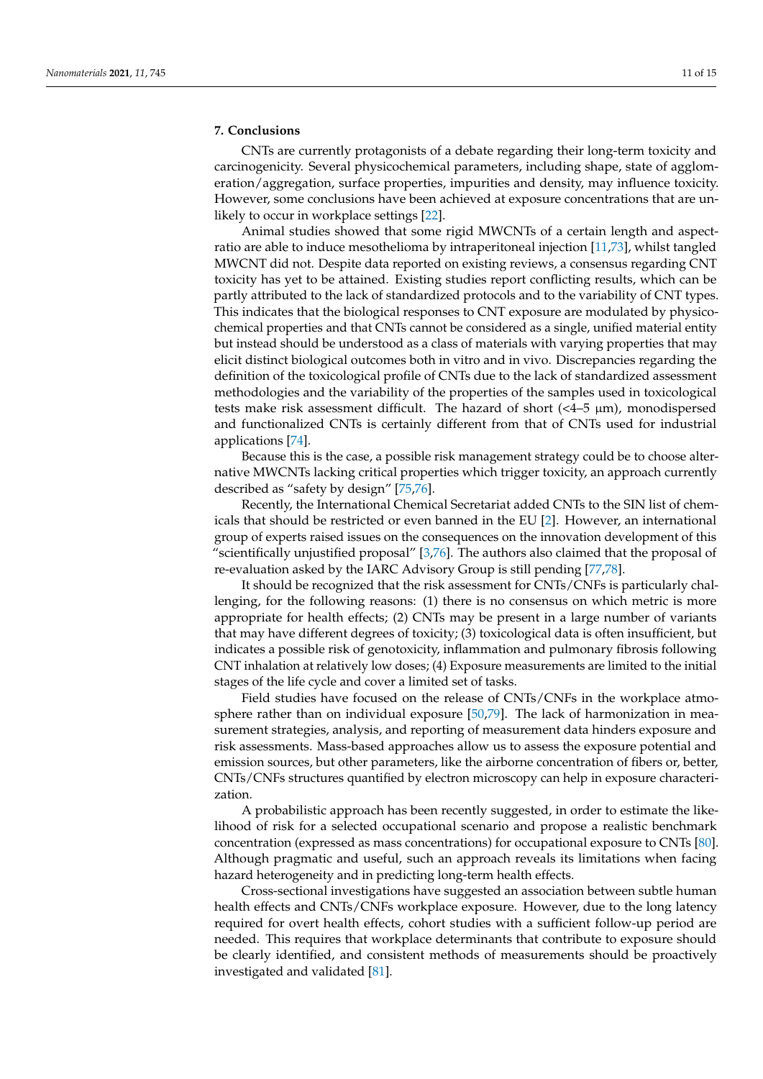## **7. Conclusions**

CNTs are currently protagonists of a debate regarding their long-term toxicity and carcinogenicity. Several physicochemical parameters, including shape, state of agglomeration/aggregation, surface properties, impurities and density, may influence toxicity. However, some conclusions have been achieved at exposure concentrations that are unlikely to occur in workplace settings [\[22\]](#page-12-6).

Animal studies showed that some rigid MWCNTs of a certain length and aspectratio are able to induce mesothelioma by intraperitoneal injection [\[11](#page-11-10)[,73\]](#page-14-10), whilst tangled MWCNT did not. Despite data reported on existing reviews, a consensus regarding CNT toxicity has yet to be attained. Existing studies report conflicting results, which can be partly attributed to the lack of standardized protocols and to the variability of CNT types. This indicates that the biological responses to CNT exposure are modulated by physicochemical properties and that CNTs cannot be considered as a single, unified material entity but instead should be understood as a class of materials with varying properties that may elicit distinct biological outcomes both in vitro and in vivo. Discrepancies regarding the definition of the toxicological profile of CNTs due to the lack of standardized assessment methodologies and the variability of the properties of the samples used in toxicological tests make risk assessment difficult. The hazard of short  $\left\langle 4-5 \mu m \right\rangle$ , monodispersed and functionalized CNTs is certainly different from that of CNTs used for industrial applications [\[74\]](#page-14-11).

Because this is the case, a possible risk management strategy could be to choose alternative MWCNTs lacking critical properties which trigger toxicity, an approach currently described as "safety by design" [\[75](#page-14-12)[,76\]](#page-14-13).

Recently, the International Chemical Secretariat added CNTs to the SIN list of chemicals that should be restricted or even banned in the EU [\[2\]](#page-11-1). However, an international group of experts raised issues on the consequences on the innovation development of this "scientifically unjustified proposal" [\[3,](#page-11-2)[76\]](#page-14-13). The authors also claimed that the proposal of re-evaluation asked by the IARC Advisory Group is still pending [\[77,](#page-14-14)[78\]](#page-14-15).

It should be recognized that the risk assessment for CNTs/CNFs is particularly challenging, for the following reasons: (1) there is no consensus on which metric is more appropriate for health effects; (2) CNTs may be present in a large number of variants that may have different degrees of toxicity; (3) toxicological data is often insufficient, but indicates a possible risk of genotoxicity, inflammation and pulmonary fibrosis following CNT inhalation at relatively low doses; (4) Exposure measurements are limited to the initial stages of the life cycle and cover a limited set of tasks.

Field studies have focused on the release of CNTs/CNFs in the workplace atmosphere rather than on individual exposure [\[50](#page-13-12)[,79\]](#page-14-16). The lack of harmonization in measurement strategies, analysis, and reporting of measurement data hinders exposure and risk assessments. Mass-based approaches allow us to assess the exposure potential and emission sources, but other parameters, like the airborne concentration of fibers or, better, CNTs/CNFs structures quantified by electron microscopy can help in exposure characterization.

A probabilistic approach has been recently suggested, in order to estimate the likelihood of risk for a selected occupational scenario and propose a realistic benchmark concentration (expressed as mass concentrations) for occupational exposure to CNTs [\[80\]](#page-14-17). Although pragmatic and useful, such an approach reveals its limitations when facing hazard heterogeneity and in predicting long-term health effects.

Cross-sectional investigations have suggested an association between subtle human health effects and CNTs/CNFs workplace exposure. However, due to the long latency required for overt health effects, cohort studies with a sufficient follow-up period are needed. This requires that workplace determinants that contribute to exposure should be clearly identified, and consistent methods of measurements should be proactively investigated and validated [\[81\]](#page-14-18).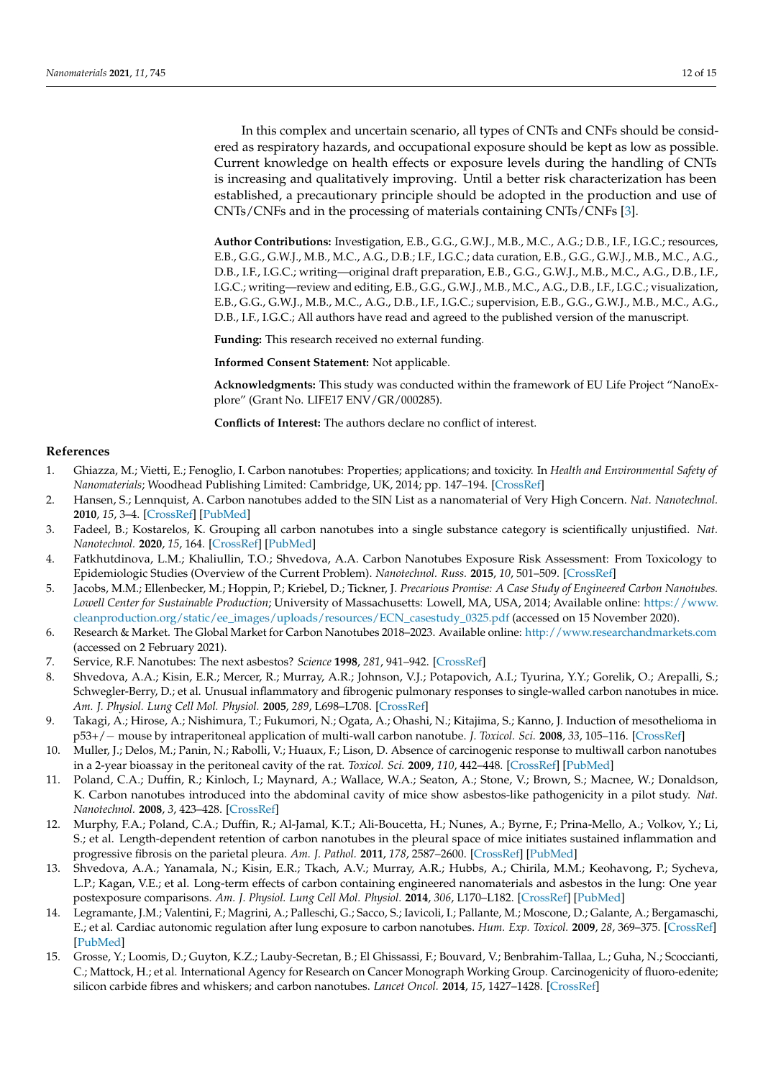In this complex and uncertain scenario, all types of CNTs and CNFs should be considered as respiratory hazards, and occupational exposure should be kept as low as possible. Current knowledge on health effects or exposure levels during the handling of CNTs is increasing and qualitatively improving. Until a better risk characterization has been established, a precautionary principle should be adopted in the production and use of CNTs/CNFs and in the processing of materials containing CNTs/CNFs [\[3\]](#page-11-2).

**Author Contributions:** Investigation, E.B., G.G., G.W.J., M.B., M.C., A.G.; D.B., I.F., I.G.C.; resources, E.B., G.G., G.W.J., M.B., M.C., A.G., D.B.; I.F., I.G.C.; data curation, E.B., G.G., G.W.J., M.B., M.C., A.G., D.B., I.F., I.G.C.; writing—original draft preparation, E.B., G.G., G.W.J., M.B., M.C., A.G., D.B., I.F., I.G.C.; writing—review and editing, E.B., G.G., G.W.J., M.B., M.C., A.G., D.B., I.F., I.G.C.; visualization, E.B., G.G., G.W.J., M.B., M.C., A.G., D.B., I.F., I.G.C.; supervision, E.B., G.G., G.W.J., M.B., M.C., A.G., D.B., I.F., I.G.C.; All authors have read and agreed to the published version of the manuscript.

**Funding:** This research received no external funding.

**Informed Consent Statement:** Not applicable.

**Acknowledgments:** This study was conducted within the framework of EU Life Project "NanoExplore" (Grant No. LIFE17 ENV/GR/000285).

**Conflicts of Interest:** The authors declare no conflict of interest.

#### **References**

- <span id="page-11-0"></span>1. Ghiazza, M.; Vietti, E.; Fenoglio, I. Carbon nanotubes: Properties; applications; and toxicity. In *Health and Environmental Safety of Nanomaterials*; Woodhead Publishing Limited: Cambridge, UK, 2014; pp. 147–194. [\[CrossRef\]](http://doi.org/10.1533/9780857096678.3.147)
- <span id="page-11-1"></span>2. Hansen, S.; Lennquist, A. Carbon nanotubes added to the SIN List as a nanomaterial of Very High Concern. *Nat. Nanotechnol.* **2010**, *15*, 3–4. [\[CrossRef\]](http://doi.org/10.1038/s41565-019-0613-9) [\[PubMed\]](http://www.ncbi.nlm.nih.gov/pubmed/31925393)
- <span id="page-11-2"></span>3. Fadeel, B.; Kostarelos, K. Grouping all carbon nanotubes into a single substance category is scientifically unjustified. *Nat. Nanotechnol.* **2020**, *15*, 164. [\[CrossRef\]](http://doi.org/10.1038/s41565-020-0654-0) [\[PubMed\]](http://www.ncbi.nlm.nih.gov/pubmed/32123379)
- <span id="page-11-3"></span>4. Fatkhutdinova, L.M.; Khaliullin, T.O.; Shvedova, A.A. Carbon Nanotubes Exposure Risk Assessment: From Toxicology to Epidemiologic Studies (Overview of the Current Problem). *Nanotechnol. Russ.* **2015**, *10*, 501–509. [\[CrossRef\]](http://doi.org/10.1134/S1995078015030064)
- <span id="page-11-4"></span>5. Jacobs, M.M.; Ellenbecker, M.; Hoppin, P.; Kriebel, D.; Tickner, J. *Precarious Promise: A Case Study of Engineered Carbon Nanotubes. Lowell Center for Sustainable Production*; University of Massachusetts: Lowell, MA, USA, 2014; Available online: [https://www.](https://www.cleanproduction.org/static/ee_images/uploads/resources/ECN_casestudy_0325.pdf) [cleanproduction.org/static/ee\\_images/uploads/resources/ECN\\_casestudy\\_0325.pdf](https://www.cleanproduction.org/static/ee_images/uploads/resources/ECN_casestudy_0325.pdf) (accessed on 15 November 2020).
- <span id="page-11-5"></span>6. Research & Market. The Global Market for Carbon Nanotubes 2018–2023. Available online: <http://www.researchandmarkets.com> (accessed on 2 February 2021).
- <span id="page-11-6"></span>7. Service, R.F. Nanotubes: The next asbestos? *Science* **1998**, *281*, 941–942. [\[CrossRef\]](http://doi.org/10.1126/science.281.5379.941)
- <span id="page-11-7"></span>8. Shvedova, A.A.; Kisin, E.R.; Mercer, R.; Murray, A.R.; Johnson, V.J.; Potapovich, A.I.; Tyurina, Y.Y.; Gorelik, O.; Arepalli, S.; Schwegler-Berry, D.; et al. Unusual inflammatory and fibrogenic pulmonary responses to single-walled carbon nanotubes in mice. *Am. J. Physiol. Lung Cell Mol. Physiol.* **2005**, *289*, L698–L708. [\[CrossRef\]](http://doi.org/10.1152/ajplung.00084.2005)
- <span id="page-11-8"></span>9. Takagi, A.; Hirose, A.; Nishimura, T.; Fukumori, N.; Ogata, A.; Ohashi, N.; Kitajima, S.; Kanno, J. Induction of mesothelioma in p53+/− mouse by intraperitoneal application of multi-wall carbon nanotube. *J. Toxicol. Sci.* **2008**, *33*, 105–116. [\[CrossRef\]](http://doi.org/10.2131/jts.33.105)
- <span id="page-11-9"></span>10. Muller, J.; Delos, M.; Panin, N.; Rabolli, V.; Huaux, F.; Lison, D. Absence of carcinogenic response to multiwall carbon nanotubes in a 2-year bioassay in the peritoneal cavity of the rat. *Toxicol. Sci.* **2009**, *110*, 442–448. [\[CrossRef\]](http://doi.org/10.1093/toxsci/kfp100) [\[PubMed\]](http://www.ncbi.nlm.nih.gov/pubmed/19429663)
- <span id="page-11-10"></span>11. Poland, C.A.; Duffin, R.; Kinloch, I.; Maynard, A.; Wallace, W.A.; Seaton, A.; Stone, V.; Brown, S.; Macnee, W.; Donaldson, K. Carbon nanotubes introduced into the abdominal cavity of mice show asbestos-like pathogenicity in a pilot study. *Nat. Nanotechnol.* **2008**, *3*, 423–428. [\[CrossRef\]](http://doi.org/10.1038/nnano.2008.111)
- <span id="page-11-11"></span>12. Murphy, F.A.; Poland, C.A.; Duffin, R.; Al-Jamal, K.T.; Ali-Boucetta, H.; Nunes, A.; Byrne, F.; Prina-Mello, A.; Volkov, Y.; Li, S.; et al. Length-dependent retention of carbon nanotubes in the pleural space of mice initiates sustained inflammation and progressive fibrosis on the parietal pleura. *Am. J. Pathol.* **2011**, *178*, 2587–2600. [\[CrossRef\]](http://doi.org/10.1016/j.ajpath.2011.02.040) [\[PubMed\]](http://www.ncbi.nlm.nih.gov/pubmed/21641383)
- <span id="page-11-12"></span>13. Shvedova, A.A.; Yanamala, N.; Kisin, E.R.; Tkach, A.V.; Murray, A.R.; Hubbs, A.; Chirila, M.M.; Keohavong, P.; Sycheva, L.P.; Kagan, V.E.; et al. Long-term effects of carbon containing engineered nanomaterials and asbestos in the lung: One year postexposure comparisons. *Am. J. Physiol. Lung Cell Mol. Physiol.* **2014**, *306*, L170–L182. [\[CrossRef\]](http://doi.org/10.1152/ajplung.00167.2013) [\[PubMed\]](http://www.ncbi.nlm.nih.gov/pubmed/24213921)
- <span id="page-11-13"></span>14. Legramante, J.M.; Valentini, F.; Magrini, A.; Palleschi, G.; Sacco, S.; Iavicoli, I.; Pallante, M.; Moscone, D.; Galante, A.; Bergamaschi, E.; et al. Cardiac autonomic regulation after lung exposure to carbon nanotubes. *Hum. Exp. Toxicol.* **2009**, *28*, 369–375. [\[CrossRef\]](http://doi.org/10.1177/0960327109105150) [\[PubMed\]](http://www.ncbi.nlm.nih.gov/pubmed/19755448)
- <span id="page-11-14"></span>15. Grosse, Y.; Loomis, D.; Guyton, K.Z.; Lauby-Secretan, B.; El Ghissassi, F.; Bouvard, V.; Benbrahim-Tallaa, L.; Guha, N.; Scoccianti, C.; Mattock, H.; et al. International Agency for Research on Cancer Monograph Working Group. Carcinogenicity of fluoro-edenite; silicon carbide fibres and whiskers; and carbon nanotubes. *Lancet Oncol.* **2014**, *15*, 1427–1428. [\[CrossRef\]](http://doi.org/10.1016/S1470-2045(14)71109-X)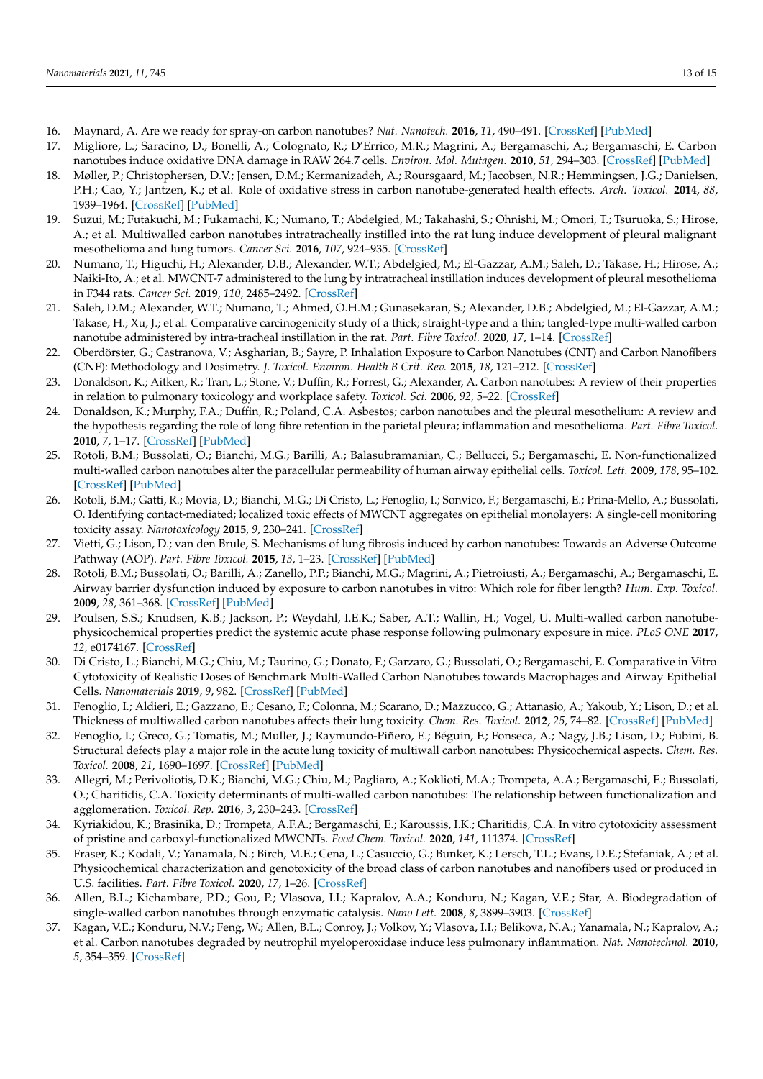- <span id="page-12-0"></span>16. Maynard, A. Are we ready for spray-on carbon nanotubes? *Nat. Nanotech.* **2016**, *11*, 490–491. [\[CrossRef\]](http://doi.org/10.1038/nnano.2016.99) [\[PubMed\]](http://www.ncbi.nlm.nih.gov/pubmed/27272137)
- <span id="page-12-1"></span>17. Migliore, L.; Saracino, D.; Bonelli, A.; Colognato, R.; D'Errico, M.R.; Magrini, A.; Bergamaschi, A.; Bergamaschi, E. Carbon nanotubes induce oxidative DNA damage in RAW 264.7 cells. *Environ. Mol. Mutagen.* **2010**, *51*, 294–303. [\[CrossRef\]](http://doi.org/10.1002/em.20545) [\[PubMed\]](http://www.ncbi.nlm.nih.gov/pubmed/20091701)
- <span id="page-12-2"></span>18. Møller, P.; Christophersen, D.V.; Jensen, D.M.; Kermanizadeh, A.; Roursgaard, M.; Jacobsen, N.R.; Hemmingsen, J.G.; Danielsen, P.H.; Cao, Y.; Jantzen, K.; et al. Role of oxidative stress in carbon nanotube-generated health effects. *Arch. Toxicol.* **2014**, *88*, 1939–1964. [\[CrossRef\]](http://doi.org/10.1007/s00204-014-1356-x) [\[PubMed\]](http://www.ncbi.nlm.nih.gov/pubmed/25212906)
- <span id="page-12-3"></span>19. Suzui, M.; Futakuchi, M.; Fukamachi, K.; Numano, T.; Abdelgied, M.; Takahashi, S.; Ohnishi, M.; Omori, T.; Tsuruoka, S.; Hirose, A.; et al. Multiwalled carbon nanotubes intratracheally instilled into the rat lung induce development of pleural malignant mesothelioma and lung tumors. *Cancer Sci.* **2016**, *107*, 924–935. [\[CrossRef\]](http://doi.org/10.1111/cas.12954)
- <span id="page-12-4"></span>20. Numano, T.; Higuchi, H.; Alexander, D.B.; Alexander, W.T.; Abdelgied, M.; El-Gazzar, A.M.; Saleh, D.; Takase, H.; Hirose, A.; Naiki-Ito, A.; et al. MWCNT-7 administered to the lung by intratracheal instillation induces development of pleural mesothelioma in F344 rats. *Cancer Sci.* **2019**, *110*, 2485–2492. [\[CrossRef\]](http://doi.org/10.1111/cas.14121)
- <span id="page-12-5"></span>21. Saleh, D.M.; Alexander, W.T.; Numano, T.; Ahmed, O.H.M.; Gunasekaran, S.; Alexander, D.B.; Abdelgied, M.; El-Gazzar, A.M.; Takase, H.; Xu, J.; et al. Comparative carcinogenicity study of a thick; straight-type and a thin; tangled-type multi-walled carbon nanotube administered by intra-tracheal instillation in the rat. *Part. Fibre Toxicol.* **2020**, *17*, 1–14. [\[CrossRef\]](http://doi.org/10.1186/s12989-020-00382-y)
- <span id="page-12-6"></span>22. Oberdörster, G.; Castranova, V.; Asgharian, B.; Sayre, P. Inhalation Exposure to Carbon Nanotubes (CNT) and Carbon Nanofibers (CNF): Methodology and Dosimetry. *J. Toxicol. Environ. Health B Crit. Rev.* **2015**, *18*, 121–212. [\[CrossRef\]](http://doi.org/10.1080/10937404.2015.1051611)
- <span id="page-12-7"></span>23. Donaldson, K.; Aitken, R.; Tran, L.; Stone, V.; Duffin, R.; Forrest, G.; Alexander, A. Carbon nanotubes: A review of their properties in relation to pulmonary toxicology and workplace safety. *Toxicol. Sci.* **2006**, *92*, 5–22. [\[CrossRef\]](http://doi.org/10.1093/toxsci/kfj130)
- <span id="page-12-8"></span>24. Donaldson, K.; Murphy, F.A.; Duffin, R.; Poland, C.A. Asbestos; carbon nanotubes and the pleural mesothelium: A review and the hypothesis regarding the role of long fibre retention in the parietal pleura; inflammation and mesothelioma. *Part. Fibre Toxicol.* **2010**, *7*, 1–17. [\[CrossRef\]](http://doi.org/10.1186/1743-8977-7-5) [\[PubMed\]](http://www.ncbi.nlm.nih.gov/pubmed/20307263)
- <span id="page-12-9"></span>25. Rotoli, B.M.; Bussolati, O.; Bianchi, M.G.; Barilli, A.; Balasubramanian, C.; Bellucci, S.; Bergamaschi, E. Non-functionalized multi-walled carbon nanotubes alter the paracellular permeability of human airway epithelial cells. *Toxicol. Lett.* **2009**, *178*, 95–102. [\[CrossRef\]](http://doi.org/10.1016/j.toxlet.2008.02.007) [\[PubMed\]](http://www.ncbi.nlm.nih.gov/pubmed/18403140)
- <span id="page-12-10"></span>26. Rotoli, B.M.; Gatti, R.; Movia, D.; Bianchi, M.G.; Di Cristo, L.; Fenoglio, I.; Sonvico, F.; Bergamaschi, E.; Prina-Mello, A.; Bussolati, O. Identifying contact-mediated; localized toxic effects of MWCNT aggregates on epithelial monolayers: A single-cell monitoring toxicity assay. *Nanotoxicology* **2015**, *9*, 230–241. [\[CrossRef\]](http://doi.org/10.3109/17435390.2014.918203)
- <span id="page-12-11"></span>27. Vietti, G.; Lison, D.; van den Brule, S. Mechanisms of lung fibrosis induced by carbon nanotubes: Towards an Adverse Outcome Pathway (AOP). *Part. Fibre Toxicol.* **2015**, *13*, 1–23. [\[CrossRef\]](http://doi.org/10.1186/s12989-016-0123-y) [\[PubMed\]](http://www.ncbi.nlm.nih.gov/pubmed/26926090)
- <span id="page-12-12"></span>28. Rotoli, B.M.; Bussolati, O.; Barilli, A.; Zanello, P.P.; Bianchi, M.G.; Magrini, A.; Pietroiusti, A.; Bergamaschi, A.; Bergamaschi, E. Airway barrier dysfunction induced by exposure to carbon nanotubes in vitro: Which role for fiber length? *Hum. Exp. Toxicol.* **2009**, *28*, 361–368. [\[CrossRef\]](http://doi.org/10.1177/0960327109105159) [\[PubMed\]](http://www.ncbi.nlm.nih.gov/pubmed/19755447)
- <span id="page-12-13"></span>29. Poulsen, S.S.; Knudsen, K.B.; Jackson, P.; Weydahl, I.E.K.; Saber, A.T.; Wallin, H.; Vogel, U. Multi-walled carbon nanotubephysicochemical properties predict the systemic acute phase response following pulmonary exposure in mice. *PLoS ONE* **2017**, *12*, e0174167. [\[CrossRef\]](http://doi.org/10.1371/journal.pone.0174167)
- <span id="page-12-14"></span>30. Di Cristo, L.; Bianchi, M.G.; Chiu, M.; Taurino, G.; Donato, F.; Garzaro, G.; Bussolati, O.; Bergamaschi, E. Comparative in Vitro Cytotoxicity of Realistic Doses of Benchmark Multi-Walled Carbon Nanotubes towards Macrophages and Airway Epithelial Cells. *Nanomaterials* **2019**, *9*, 982. [\[CrossRef\]](http://doi.org/10.3390/nano9070982) [\[PubMed\]](http://www.ncbi.nlm.nih.gov/pubmed/31284615)
- <span id="page-12-15"></span>31. Fenoglio, I.; Aldieri, E.; Gazzano, E.; Cesano, F.; Colonna, M.; Scarano, D.; Mazzucco, G.; Attanasio, A.; Yakoub, Y.; Lison, D.; et al. Thickness of multiwalled carbon nanotubes affects their lung toxicity. *Chem. Res. Toxicol.* **2012**, *25*, 74–82. [\[CrossRef\]](http://doi.org/10.1021/tx200255h) [\[PubMed\]](http://www.ncbi.nlm.nih.gov/pubmed/22128750)
- <span id="page-12-16"></span>32. Fenoglio, I.; Greco, G.; Tomatis, M.; Muller, J.; Raymundo-Piñero, E.; Béguin, F.; Fonseca, A.; Nagy, J.B.; Lison, D.; Fubini, B. Structural defects play a major role in the acute lung toxicity of multiwall carbon nanotubes: Physicochemical aspects. *Chem. Res. Toxicol.* **2008**, *21*, 1690–1697. [\[CrossRef\]](http://doi.org/10.1021/tx800100s) [\[PubMed\]](http://www.ncbi.nlm.nih.gov/pubmed/18636755)
- <span id="page-12-17"></span>33. Allegri, M.; Perivoliotis, D.K.; Bianchi, M.G.; Chiu, M.; Pagliaro, A.; Koklioti, M.A.; Trompeta, A.A.; Bergamaschi, E.; Bussolati, O.; Charitidis, C.A. Toxicity determinants of multi-walled carbon nanotubes: The relationship between functionalization and agglomeration. *Toxicol. Rep.* **2016**, *3*, 230–243. [\[CrossRef\]](http://doi.org/10.1016/j.toxrep.2016.01.011)
- <span id="page-12-18"></span>34. Kyriakidou, K.; Brasinika, D.; Trompeta, A.F.A.; Bergamaschi, E.; Karoussis, I.K.; Charitidis, C.A. In vitro cytotoxicity assessment of pristine and carboxyl-functionalized MWCNTs. *Food Chem. Toxicol.* **2020**, *141*, 111374. [\[CrossRef\]](http://doi.org/10.1016/j.fct.2020.111374)
- <span id="page-12-19"></span>35. Fraser, K.; Kodali, V.; Yanamala, N.; Birch, M.E.; Cena, L.; Casuccio, G.; Bunker, K.; Lersch, T.L.; Evans, D.E.; Stefaniak, A.; et al. Physicochemical characterization and genotoxicity of the broad class of carbon nanotubes and nanofibers used or produced in U.S. facilities. *Part. Fibre Toxicol.* **2020**, *17*, 1–26. [\[CrossRef\]](http://doi.org/10.1186/s12989-020-00392-w)
- <span id="page-12-20"></span>36. Allen, B.L.; Kichambare, P.D.; Gou, P.; Vlasova, I.I.; Kapralov, A.A.; Konduru, N.; Kagan, V.E.; Star, A. Biodegradation of single-walled carbon nanotubes through enzymatic catalysis. *Nano Lett.* **2008**, *8*, 3899–3903. [\[CrossRef\]](http://doi.org/10.1021/nl802315h)
- <span id="page-12-21"></span>37. Kagan, V.E.; Konduru, N.V.; Feng, W.; Allen, B.L.; Conroy, J.; Volkov, Y.; Vlasova, I.I.; Belikova, N.A.; Yanamala, N.; Kapralov, A.; et al. Carbon nanotubes degraded by neutrophil myeloperoxidase induce less pulmonary inflammation. *Nat. Nanotechnol.* **2010**, *5*, 354–359. [\[CrossRef\]](http://doi.org/10.1038/nnano.2010.44)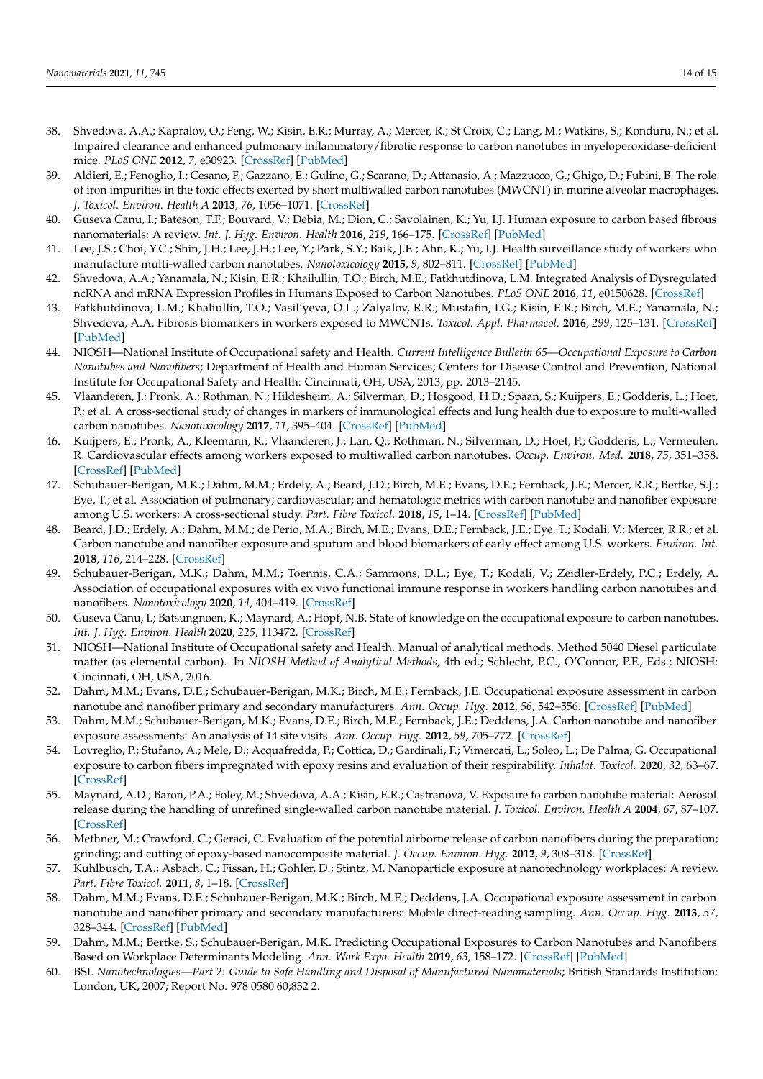- <span id="page-13-0"></span>38. Shvedova, A.A.; Kapralov, O.; Feng, W.; Kisin, E.R.; Murray, A.; Mercer, R.; St Croix, C.; Lang, M.; Watkins, S.; Konduru, N.; et al. Impaired clearance and enhanced pulmonary inflammatory/fibrotic response to carbon nanotubes in myeloperoxidase-deficient mice. *PLoS ONE* **2012**, *7*, e30923. [\[CrossRef\]](http://doi.org/10.1371/journal.pone.0030923) [\[PubMed\]](http://www.ncbi.nlm.nih.gov/pubmed/22479306)
- <span id="page-13-1"></span>39. Aldieri, E.; Fenoglio, I.; Cesano, F.; Gazzano, E.; Gulino, G.; Scarano, D.; Attanasio, A.; Mazzucco, G.; Ghigo, D.; Fubini, B. The role of iron impurities in the toxic effects exerted by short multiwalled carbon nanotubes (MWCNT) in murine alveolar macrophages. *J. Toxicol. Environ. Health A* **2013**, *76*, 1056–1071. [\[CrossRef\]](http://doi.org/10.1080/15287394.2013.834855)
- <span id="page-13-2"></span>40. Guseva Canu, I.; Bateson, T.F.; Bouvard, V.; Debia, M.; Dion, C.; Savolainen, K.; Yu, I.J. Human exposure to carbon based fibrous nanomaterials: A review. *Int. J. Hyg. Environ. Health* **2016**, *219*, 166–175. [\[CrossRef\]](http://doi.org/10.1016/j.ijheh.2015.12.005) [\[PubMed\]](http://www.ncbi.nlm.nih.gov/pubmed/26752069)
- <span id="page-13-3"></span>41. Lee, J.S.; Choi, Y.C.; Shin, J.H.; Lee, J.H.; Lee, Y.; Park, S.Y.; Baik, J.E.; Ahn, K.; Yu, I.J. Health surveillance study of workers who manufacture multi-walled carbon nanotubes. *Nanotoxicology* **2015**, *9*, 802–811. [\[CrossRef\]](http://doi.org/10.3109/17435390.2014.978404) [\[PubMed\]](http://www.ncbi.nlm.nih.gov/pubmed/25395166)
- <span id="page-13-4"></span>42. Shvedova, A.A.; Yanamala, N.; Kisin, E.R.; Khailullin, T.O.; Birch, M.E.; Fatkhutdinova, L.M. Integrated Analysis of Dysregulated ncRNA and mRNA Expression Profiles in Humans Exposed to Carbon Nanotubes. *PLoS ONE* **2016**, *11*, e0150628. [\[CrossRef\]](http://doi.org/10.1371/journal.pone.0150628)
- <span id="page-13-5"></span>43. Fatkhutdinova, L.M.; Khaliullin, T.O.; Vasil'yeva, O.L.; Zalyalov, R.R.; Mustafin, I.G.; Kisin, E.R.; Birch, M.E.; Yanamala, N.; Shvedova, A.A. Fibrosis biomarkers in workers exposed to MWCNTs. *Toxicol. Appl. Pharmacol.* **2016**, *299*, 125–131. [\[CrossRef\]](http://doi.org/10.1016/j.taap.2016.02.016) [\[PubMed\]](http://www.ncbi.nlm.nih.gov/pubmed/26902652)
- <span id="page-13-6"></span>44. NIOSH—National Institute of Occupational safety and Health. *Current Intelligence Bulletin 65—Occupational Exposure to Carbon Nanotubes and Nanofibers*; Department of Health and Human Services; Centers for Disease Control and Prevention, National Institute for Occupational Safety and Health: Cincinnati, OH, USA, 2013; pp. 2013–2145.
- <span id="page-13-7"></span>45. Vlaanderen, J.; Pronk, A.; Rothman, N.; Hildesheim, A.; Silverman, D.; Hosgood, H.D.; Spaan, S.; Kuijpers, E.; Godderis, L.; Hoet, P.; et al. A cross-sectional study of changes in markers of immunological effects and lung health due to exposure to multi-walled carbon nanotubes. *Nanotoxicology* **2017**, *11*, 395–404. [\[CrossRef\]](http://doi.org/10.1080/17435390.2017.1308031) [\[PubMed\]](http://www.ncbi.nlm.nih.gov/pubmed/28301273)
- <span id="page-13-8"></span>46. Kuijpers, E.; Pronk, A.; Kleemann, R.; Vlaanderen, J.; Lan, Q.; Rothman, N.; Silverman, D.; Hoet, P.; Godderis, L.; Vermeulen, R. Cardiovascular effects among workers exposed to multiwalled carbon nanotubes. *Occup. Environ. Med.* **2018**, *75*, 351–358. [\[CrossRef\]](http://doi.org/10.1136/oemed-2017-104796) [\[PubMed\]](http://www.ncbi.nlm.nih.gov/pubmed/29440327)
- <span id="page-13-9"></span>47. Schubauer-Berigan, M.K.; Dahm, M.M.; Erdely, A.; Beard, J.D.; Birch, M.E.; Evans, D.E.; Fernback, J.E.; Mercer, R.R.; Bertke, S.J.; Eye, T.; et al. Association of pulmonary; cardiovascular; and hematologic metrics with carbon nanotube and nanofiber exposure among U.S. workers: A cross-sectional study. *Part. Fibre Toxicol.* **2018**, *15*, 1–14. [\[CrossRef\]](http://doi.org/10.1186/s12989-018-0258-0) [\[PubMed\]](http://www.ncbi.nlm.nih.gov/pubmed/29769147)
- <span id="page-13-10"></span>48. Beard, J.D.; Erdely, A.; Dahm, M.M.; de Perio, M.A.; Birch, M.E.; Evans, D.E.; Fernback, J.E.; Eye, T.; Kodali, V.; Mercer, R.R.; et al. Carbon nanotube and nanofiber exposure and sputum and blood biomarkers of early effect among U.S. workers. *Environ. Int.* **2018**, *116*, 214–228. [\[CrossRef\]](http://doi.org/10.1016/j.envint.2018.04.004)
- <span id="page-13-11"></span>49. Schubauer-Berigan, M.K.; Dahm, M.M.; Toennis, C.A.; Sammons, D.L.; Eye, T.; Kodali, V.; Zeidler-Erdely, P.C.; Erdely, A. Association of occupational exposures with ex vivo functional immune response in workers handling carbon nanotubes and nanofibers. *Nanotoxicology* **2020**, *14*, 404–419. [\[CrossRef\]](http://doi.org/10.1080/17435390.2020.1717007)
- <span id="page-13-12"></span>50. Guseva Canu, I.; Batsungnoen, K.; Maynard, A.; Hopf, N.B. State of knowledge on the occupational exposure to carbon nanotubes. *Int. J. Hyg. Environ. Health* **2020**, *225*, 113472. [\[CrossRef\]](http://doi.org/10.1016/j.ijheh.2020.113472)
- <span id="page-13-13"></span>51. NIOSH—National Institute of Occupational safety and Health. Manual of analytical methods. Method 5040 Diesel particulate matter (as elemental carbon). In *NIOSH Method of Analytical Methods*, 4th ed.; Schlecht, P.C., O'Connor, P.F., Eds.; NIOSH: Cincinnati, OH, USA, 2016.
- 52. Dahm, M.M.; Evans, D.E.; Schubauer-Berigan, M.K.; Birch, M.E.; Fernback, J.E. Occupational exposure assessment in carbon nanotube and nanofiber primary and secondary manufacturers. *Ann. Occup. Hyg.* **2012**, *56*, 542–556. [\[CrossRef\]](http://doi.org/10.1093/annhyg/mer110) [\[PubMed\]](http://www.ncbi.nlm.nih.gov/pubmed/22156567)
- <span id="page-13-14"></span>53. Dahm, M.M.; Schubauer-Berigan, M.K.; Evans, D.E.; Birch, M.E.; Fernback, J.E.; Deddens, J.A. Carbon nanotube and nanofiber exposure assessments: An analysis of 14 site visits. *Ann. Occup. Hyg.* **2012**, *59*, 705–772. [\[CrossRef\]](http://doi.org/10.1093/annhyg/mev020)
- <span id="page-13-15"></span>54. Lovreglio, P.; Stufano, A.; Mele, D.; Acquafredda, P.; Cottica, D.; Gardinali, F.; Vimercati, L.; Soleo, L.; De Palma, G. Occupational exposure to carbon fibers impregnated with epoxy resins and evaluation of their respirability. *Inhalat. Toxicol.* **2020**, *32*, 63–67. [\[CrossRef\]](http://doi.org/10.1080/08958378.2020.1735582)
- <span id="page-13-16"></span>55. Maynard, A.D.; Baron, P.A.; Foley, M.; Shvedova, A.A.; Kisin, E.R.; Castranova, V. Exposure to carbon nanotube material: Aerosol release during the handling of unrefined single-walled carbon nanotube material. *J. Toxicol. Environ. Health A* **2004**, *67*, 87–107. [\[CrossRef\]](http://doi.org/10.1080/15287390490253688)
- 56. Methner, M.; Crawford, C.; Geraci, C. Evaluation of the potential airborne release of carbon nanofibers during the preparation; grinding; and cutting of epoxy-based nanocomposite material. *J. Occup. Environ. Hyg.* **2012**, *9*, 308–318. [\[CrossRef\]](http://doi.org/10.1080/15459624.2012.670790)
- <span id="page-13-20"></span>57. Kuhlbusch, T.A.; Asbach, C.; Fissan, H.; Gohler, D.; Stintz, M. Nanoparticle exposure at nanotechnology workplaces: A review. *Part. Fibre Toxicol.* **2011**, *8*, 1–18. [\[CrossRef\]](http://doi.org/10.1186/1743-8977-8-22)
- <span id="page-13-17"></span>58. Dahm, M.M.; Evans, D.E.; Schubauer-Berigan, M.K.; Birch, M.E.; Deddens, J.A. Occupational exposure assessment in carbon nanotube and nanofiber primary and secondary manufacturers: Mobile direct-reading sampling. *Ann. Occup. Hyg.* **2013**, *57*, 328–344. [\[CrossRef\]](http://doi.org/10.1093/annhyg/mes079) [\[PubMed\]](http://www.ncbi.nlm.nih.gov/pubmed/23100605)
- <span id="page-13-18"></span>59. Dahm, M.M.; Bertke, S.; Schubauer-Berigan, M.K. Predicting Occupational Exposures to Carbon Nanotubes and Nanofibers Based on Workplace Determinants Modeling. *Ann. Work Expo. Health* **2019**, *63*, 158–172. [\[CrossRef\]](http://doi.org/10.1093/annweh/wxy102) [\[PubMed\]](http://www.ncbi.nlm.nih.gov/pubmed/30715150)
- <span id="page-13-19"></span>60. BSI. *Nanotechnologies—Part 2: Guide to Safe Handling and Disposal of Manufactured Nanomaterials*; British Standards Institution: London, UK, 2007; Report No. 978 0580 60;832 2.